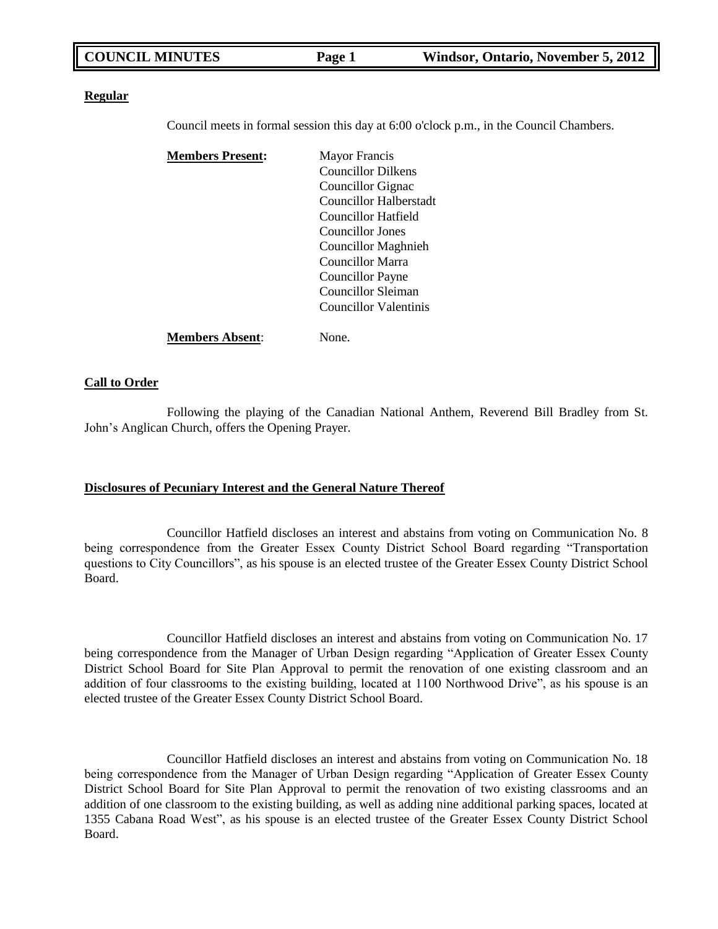#### **Regular**

Council meets in formal session this day at 6:00 o'clock p.m., in the Council Chambers.

| <b>Members Present:</b> | <b>Mayor Francis</b>       |  |
|-------------------------|----------------------------|--|
|                         | <b>Councillor Dilkens</b>  |  |
|                         | Councillor Gignac          |  |
|                         | Councillor Halberstadt     |  |
|                         | Councillor Hatfield        |  |
|                         | Councillor Jones           |  |
|                         | <b>Councillor Maghnieh</b> |  |
|                         | <b>Councillor Marra</b>    |  |
|                         | Councillor Payne           |  |
|                         | Councillor Sleiman         |  |
|                         | Councillor Valentinis      |  |
| <b>Members Absent:</b>  | None.                      |  |

#### **Call to Order**

Following the playing of the Canadian National Anthem, Reverend Bill Bradley from St. John"s Anglican Church, offers the Opening Prayer.

#### **Disclosures of Pecuniary Interest and the General Nature Thereof**

Councillor Hatfield discloses an interest and abstains from voting on Communication No. 8 being correspondence from the Greater Essex County District School Board regarding "Transportation questions to City Councillors", as his spouse is an elected trustee of the Greater Essex County District School Board.

Councillor Hatfield discloses an interest and abstains from voting on Communication No. 17 being correspondence from the Manager of Urban Design regarding "Application of Greater Essex County District School Board for Site Plan Approval to permit the renovation of one existing classroom and an addition of four classrooms to the existing building, located at 1100 Northwood Drive", as his spouse is an elected trustee of the Greater Essex County District School Board.

Councillor Hatfield discloses an interest and abstains from voting on Communication No. 18 being correspondence from the Manager of Urban Design regarding "Application of Greater Essex County District School Board for Site Plan Approval to permit the renovation of two existing classrooms and an addition of one classroom to the existing building, as well as adding nine additional parking spaces, located at 1355 Cabana Road West", as his spouse is an elected trustee of the Greater Essex County District School Board.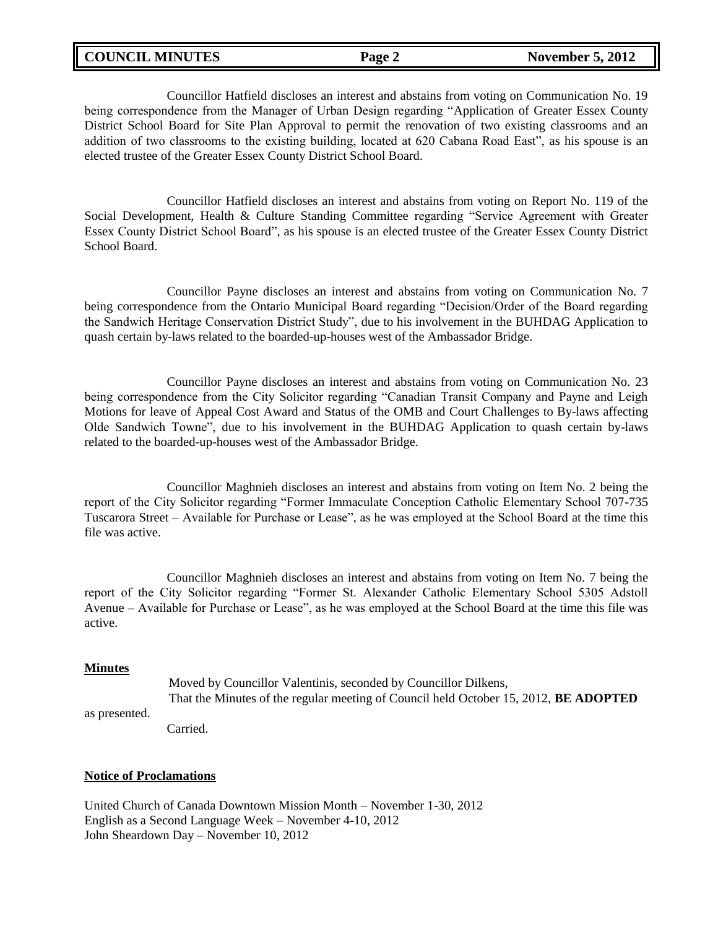### **COUNCIL MINUTES Page 2** November 5, 2012

Councillor Hatfield discloses an interest and abstains from voting on Communication No. 19 being correspondence from the Manager of Urban Design regarding "Application of Greater Essex County District School Board for Site Plan Approval to permit the renovation of two existing classrooms and an addition of two classrooms to the existing building, located at 620 Cabana Road East", as his spouse is an elected trustee of the Greater Essex County District School Board.

Councillor Hatfield discloses an interest and abstains from voting on Report No. 119 of the Social Development, Health & Culture Standing Committee regarding "Service Agreement with Greater Essex County District School Board", as his spouse is an elected trustee of the Greater Essex County District School Board.

Councillor Payne discloses an interest and abstains from voting on Communication No. 7 being correspondence from the Ontario Municipal Board regarding "Decision/Order of the Board regarding the Sandwich Heritage Conservation District Study", due to his involvement in the BUHDAG Application to quash certain by-laws related to the boarded-up-houses west of the Ambassador Bridge.

Councillor Payne discloses an interest and abstains from voting on Communication No. 23 being correspondence from the City Solicitor regarding "Canadian Transit Company and Payne and Leigh Motions for leave of Appeal Cost Award and Status of the OMB and Court Challenges to By-laws affecting Olde Sandwich Towne", due to his involvement in the BUHDAG Application to quash certain by-laws related to the boarded-up-houses west of the Ambassador Bridge.

Councillor Maghnieh discloses an interest and abstains from voting on Item No. 2 being the report of the City Solicitor regarding "Former Immaculate Conception Catholic Elementary School 707-735 Tuscarora Street – Available for Purchase or Lease", as he was employed at the School Board at the time this file was active.

Councillor Maghnieh discloses an interest and abstains from voting on Item No. 7 being the report of the City Solicitor regarding "Former St. Alexander Catholic Elementary School 5305 Adstoll Avenue – Available for Purchase or Lease", as he was employed at the School Board at the time this file was active.

#### **Minutes**

Moved by Councillor Valentinis, seconded by Councillor Dilkens, That the Minutes of the regular meeting of Council held October 15, 2012, **BE ADOPTED** as presented. Carried.

#### **Notice of Proclamations**

United Church of Canada Downtown Mission Month – November 1-30, 2012 English as a Second Language Week – November 4-10, 2012 John Sheardown Day – November 10, 2012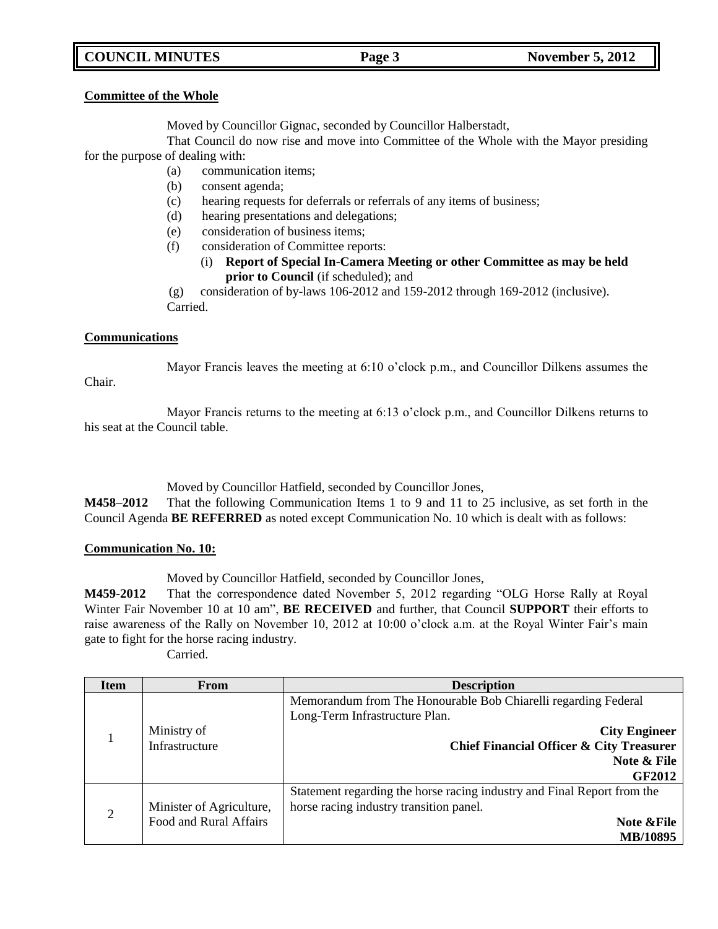## **COUNCIL MINUTES Page 3** November 5, 2012

#### **Committee of the Whole**

Moved by Councillor Gignac, seconded by Councillor Halberstadt,

That Council do now rise and move into Committee of the Whole with the Mayor presiding for the purpose of dealing with:

- (a) communication items;
- (b) consent agenda;
- (c) hearing requests for deferrals or referrals of any items of business;
- (d) hearing presentations and delegations;
- (e) consideration of business items;
- (f) consideration of Committee reports:
	- (i) **Report of Special In-Camera Meeting or other Committee as may be held prior to Council** (if scheduled); and

(g) consideration of by-laws 106-2012 and 159-2012 through 169-2012 (inclusive). Carried.

### **Communications**

Chair.

Mayor Francis leaves the meeting at 6:10 o'clock p.m., and Councillor Dilkens assumes the

Mayor Francis returns to the meeting at 6:13 o"clock p.m., and Councillor Dilkens returns to his seat at the Council table.

Moved by Councillor Hatfield, seconded by Councillor Jones,

**M458–2012** That the following Communication Items 1 to 9 and 11 to 25 inclusive, as set forth in the Council Agenda **BE REFERRED** as noted except Communication No. 10 which is dealt with as follows:

### **Communication No. 10:**

Moved by Councillor Hatfield, seconded by Councillor Jones,

**M459-2012** That the correspondence dated November 5, 2012 regarding "OLG Horse Rally at Royal Winter Fair November 10 at 10 am", **BE RECEIVED** and further, that Council **SUPPORT** their efforts to raise awareness of the Rally on November 10, 2012 at 10:00 o'clock a.m. at the Royal Winter Fair's main gate to fight for the horse racing industry.

Carried.

| <b>Item</b>    | <b>From</b>              | <b>Description</b>                                                      |  |
|----------------|--------------------------|-------------------------------------------------------------------------|--|
|                |                          | Memorandum from The Honourable Bob Chiarelli regarding Federal          |  |
|                |                          | Long-Term Infrastructure Plan.                                          |  |
|                | Ministry of              | <b>City Engineer</b>                                                    |  |
|                | Infrastructure           | <b>Chief Financial Officer &amp; City Treasurer</b>                     |  |
|                |                          | Note & File                                                             |  |
|                |                          | <b>GF2012</b>                                                           |  |
|                |                          | Statement regarding the horse racing industry and Final Report from the |  |
| $\overline{2}$ | Minister of Agriculture, | horse racing industry transition panel.                                 |  |
|                | Food and Rural Affairs   | <b>Note &amp;File</b>                                                   |  |
|                |                          | MB/10895                                                                |  |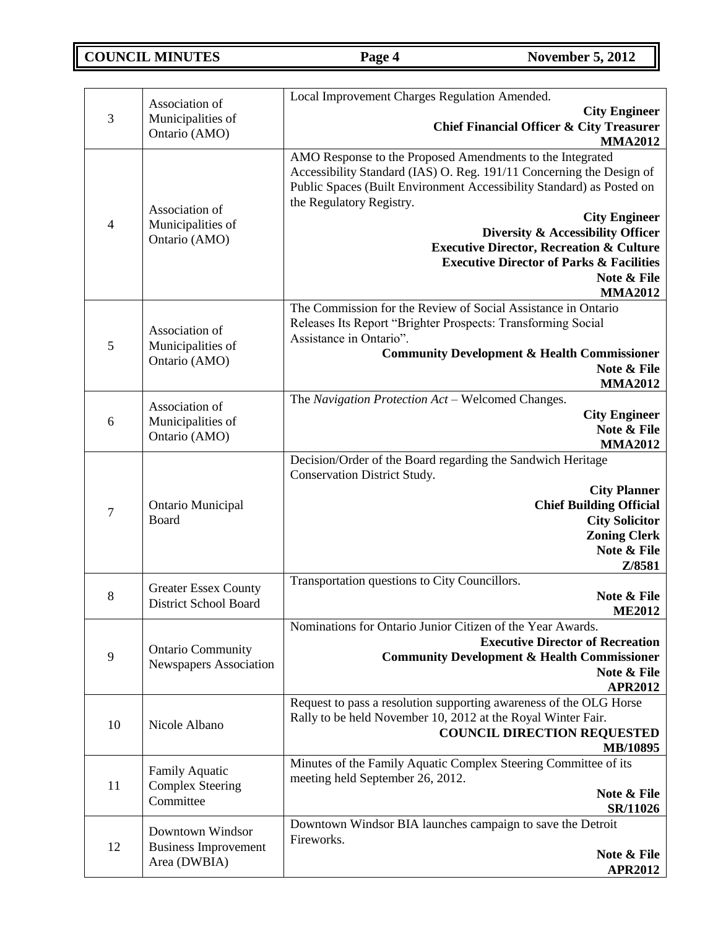**COUNCIL MINUTES Page 4** November 5, 2012

|                | Association of                | Local Improvement Charges Regulation Amended.                               |
|----------------|-------------------------------|-----------------------------------------------------------------------------|
| 3              | Municipalities of             | <b>City Engineer</b>                                                        |
|                | Ontario (AMO)                 | <b>Chief Financial Officer &amp; City Treasurer</b>                         |
|                |                               | <b>MMA2012</b>                                                              |
|                |                               | AMO Response to the Proposed Amendments to the Integrated                   |
|                |                               | Accessibility Standard (IAS) O. Reg. 191/11 Concerning the Design of        |
|                |                               | Public Spaces (Built Environment Accessibility Standard) as Posted on       |
|                | Association of                | the Regulatory Registry.                                                    |
| $\overline{4}$ | Municipalities of             | <b>City Engineer</b><br>Diversity & Accessibility Officer                   |
|                | Ontario (AMO)                 | <b>Executive Director, Recreation &amp; Culture</b>                         |
|                |                               | <b>Executive Director of Parks &amp; Facilities</b>                         |
|                |                               | Note & File                                                                 |
|                |                               | <b>MMA2012</b>                                                              |
|                |                               | The Commission for the Review of Social Assistance in Ontario               |
|                | Association of                | Releases Its Report "Brighter Prospects: Transforming Social                |
| 5              | Municipalities of             | Assistance in Ontario".                                                     |
|                | Ontario (AMO)                 | <b>Community Development &amp; Health Commissioner</b>                      |
|                |                               | Note & File                                                                 |
|                |                               | <b>MMA2012</b>                                                              |
|                | Association of                | The Navigation Protection Act - Welcomed Changes.                           |
| 6              | Municipalities of             | <b>City Engineer</b><br>Note & File                                         |
|                | Ontario (AMO)                 | <b>MMA2012</b>                                                              |
|                |                               | Decision/Order of the Board regarding the Sandwich Heritage                 |
|                |                               | <b>Conservation District Study.</b>                                         |
|                |                               | <b>City Planner</b>                                                         |
|                | Ontario Municipal<br>Board    | <b>Chief Building Official</b>                                              |
| $\tau$         |                               | <b>City Solicitor</b>                                                       |
|                |                               | <b>Zoning Clerk</b>                                                         |
|                |                               | Note & File                                                                 |
|                |                               | Z/8581                                                                      |
|                | <b>Greater Essex County</b>   | Transportation questions to City Councillors.                               |
| 8              | <b>District School Board</b>  | Note & File                                                                 |
|                |                               | <b>ME2012</b><br>Nominations for Ontario Junior Citizen of the Year Awards. |
|                |                               | <b>Executive Director of Recreation</b>                                     |
| $\mathbf{9}$   | <b>Ontario Community</b>      | <b>Community Development &amp; Health Commissioner</b>                      |
|                | <b>Newspapers Association</b> | Note & File                                                                 |
|                |                               | <b>APR2012</b>                                                              |
|                |                               | Request to pass a resolution supporting awareness of the OLG Horse          |
| 10             | Nicole Albano                 | Rally to be held November 10, 2012 at the Royal Winter Fair.                |
|                |                               | <b>COUNCIL DIRECTION REQUESTED</b>                                          |
|                |                               | MB/10895                                                                    |
|                | <b>Family Aquatic</b>         | Minutes of the Family Aquatic Complex Steering Committee of its             |
| 11             | <b>Complex Steering</b>       | meeting held September 26, 2012.                                            |
|                | Committee                     | Note & File                                                                 |
|                |                               | <b>SR/11026</b>                                                             |
|                | Downtown Windsor              | Downtown Windsor BIA launches campaign to save the Detroit<br>Fireworks.    |
| 12             | <b>Business Improvement</b>   | Note & File                                                                 |
|                | Area (DWBIA)                  | <b>APR2012</b>                                                              |
|                |                               |                                                                             |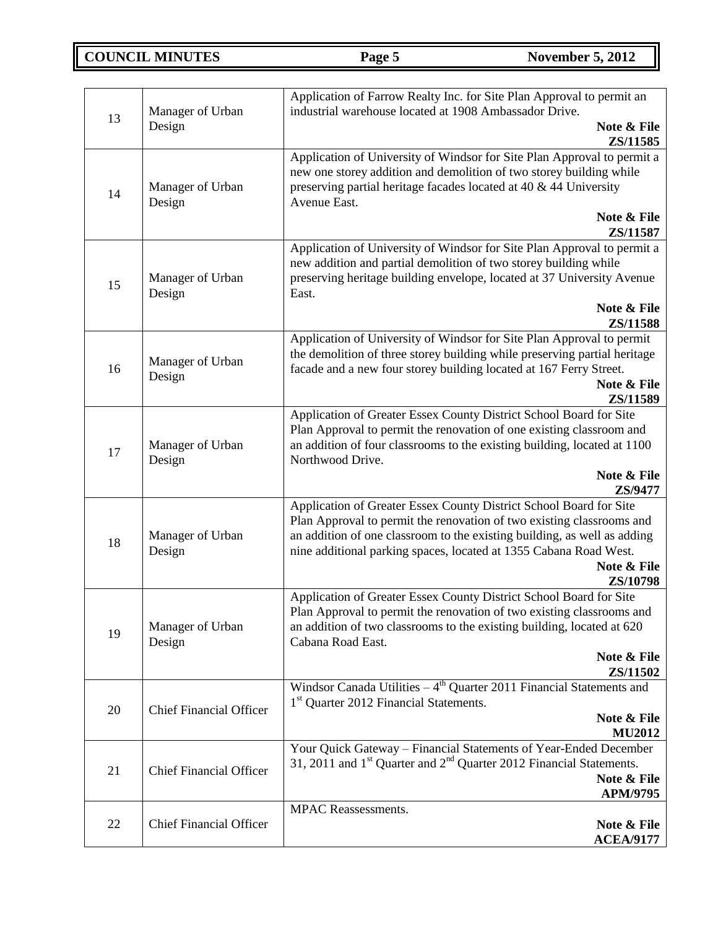**COUNCIL MINUTES Page 5** November 5, 2012

| 13 | Manager of Urban<br>Design     | Application of Farrow Realty Inc. for Site Plan Approval to permit an<br>industrial warehouse located at 1908 Ambassador Drive.<br>Note & File<br>ZS/11585                                                                                                |
|----|--------------------------------|-----------------------------------------------------------------------------------------------------------------------------------------------------------------------------------------------------------------------------------------------------------|
| 14 | Manager of Urban<br>Design     | Application of University of Windsor for Site Plan Approval to permit a<br>new one storey addition and demolition of two storey building while<br>preserving partial heritage facades located at 40 & 44 University<br>Avenue East.<br>Note & File        |
|    |                                | ZS/11587                                                                                                                                                                                                                                                  |
| 15 | Manager of Urban<br>Design     | Application of University of Windsor for Site Plan Approval to permit a<br>new addition and partial demolition of two storey building while<br>preserving heritage building envelope, located at 37 University Avenue<br>East.                            |
|    |                                | Note & File<br>ZS/11588                                                                                                                                                                                                                                   |
| 16 | Manager of Urban<br>Design     | Application of University of Windsor for Site Plan Approval to permit<br>the demolition of three storey building while preserving partial heritage<br>facade and a new four storey building located at 167 Ferry Street.<br>Note & File<br>ZS/11589       |
| 17 | Manager of Urban<br>Design     | Application of Greater Essex County District School Board for Site<br>Plan Approval to permit the renovation of one existing classroom and<br>an addition of four classrooms to the existing building, located at 1100<br>Northwood Drive.<br>Note & File |
|    |                                | ZS/9477<br>Application of Greater Essex County District School Board for Site                                                                                                                                                                             |
| 18 | Manager of Urban<br>Design     | Plan Approval to permit the renovation of two existing classrooms and<br>an addition of one classroom to the existing building, as well as adding<br>nine additional parking spaces, located at 1355 Cabana Road West.                                    |
|    |                                | Note & File<br>ZS/10798                                                                                                                                                                                                                                   |
| 19 | Manager of Urban<br>Design     | Application of Greater Essex County District School Board for Site<br>Plan Approval to permit the renovation of two existing classrooms and<br>an addition of two classrooms to the existing building, located at 620<br>Cabana Road East.                |
|    |                                | Note & File<br>ZS/11502                                                                                                                                                                                                                                   |
| 20 | <b>Chief Financial Officer</b> | Windsor Canada Utilities $-4$ <sup>th</sup> Quarter 2011 Financial Statements and<br>1 <sup>st</sup> Quarter 2012 Financial Statements.                                                                                                                   |
|    |                                | Note & File<br><b>MU2012</b>                                                                                                                                                                                                                              |
| 21 | <b>Chief Financial Officer</b> | Your Quick Gateway - Financial Statements of Year-Ended December<br>31, 2011 and $1st$ Quarter and $2nd$ Quarter 2012 Financial Statements.<br>Note & File<br>APM/9795                                                                                    |
|    |                                | <b>MPAC</b> Reassessments.                                                                                                                                                                                                                                |
| 22 | <b>Chief Financial Officer</b> | Note & File<br><b>ACEA/9177</b>                                                                                                                                                                                                                           |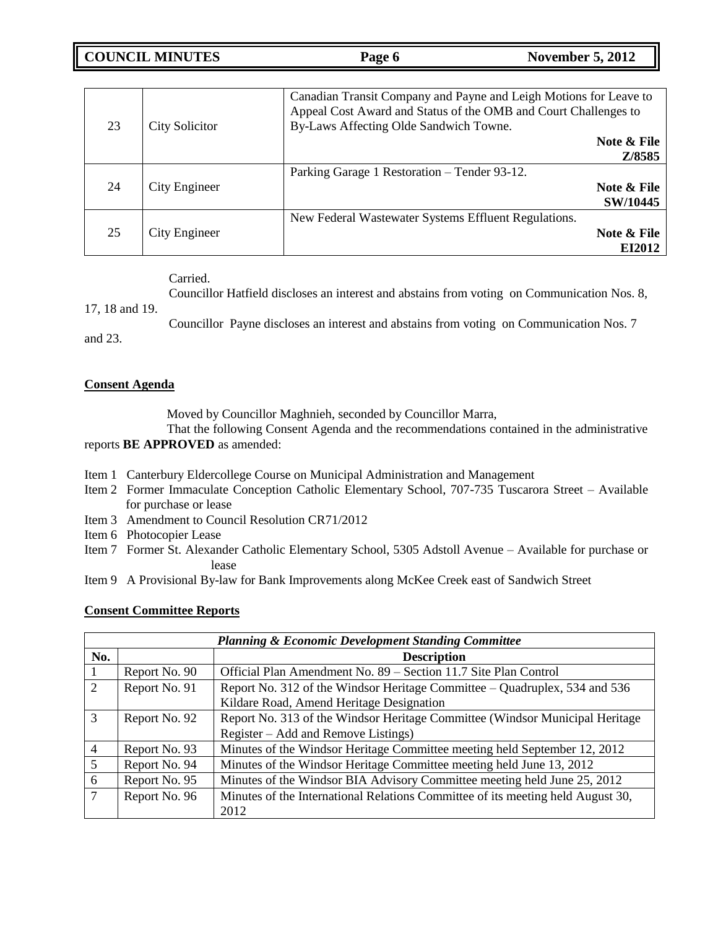**COUNCIL MINUTES Page 6** November 5, 2012

| 23 | <b>City Solicitor</b> | Canadian Transit Company and Payne and Leigh Motions for Leave to<br>Appeal Cost Award and Status of the OMB and Court Challenges to<br>By-Laws Affecting Olde Sandwich Towne. |  |
|----|-----------------------|--------------------------------------------------------------------------------------------------------------------------------------------------------------------------------|--|
|    |                       | Note & File<br>Z/8585                                                                                                                                                          |  |
| 24 | City Engineer         | Parking Garage 1 Restoration – Tender 93-12.<br>Note & File<br>SW/10445                                                                                                        |  |
| 25 | City Engineer         | New Federal Wastewater Systems Effluent Regulations.<br>Note & File<br>EI2012                                                                                                  |  |

Carried.

Councillor Hatfield discloses an interest and abstains from voting on Communication Nos. 8,

17, 18 and 19.

Councillor Payne discloses an interest and abstains from voting on Communication Nos. 7 and 23.

### **Consent Agenda**

Moved by Councillor Maghnieh, seconded by Councillor Marra,

That the following Consent Agenda and the recommendations contained in the administrative reports **BE APPROVED** as amended:

- Item 1 Canterbury Eldercollege Course on Municipal Administration and Management
- Item 2 Former Immaculate Conception Catholic Elementary School, 707-735 Tuscarora Street Available for purchase or lease
- Item 3 Amendment to Council Resolution CR71/2012
- Item 6 Photocopier Lease
- Item 7 Former St. Alexander Catholic Elementary School, 5305 Adstoll Avenue Available for purchase or lease
- Item 9 A Provisional By-law for Bank Improvements along McKee Creek east of Sandwich Street

#### **Consent Committee Reports**

| <b>Planning &amp; Economic Development Standing Committee</b> |               |                                                                                 |  |  |
|---------------------------------------------------------------|---------------|---------------------------------------------------------------------------------|--|--|
| No.                                                           |               | <b>Description</b>                                                              |  |  |
| $\mathbf{I}$                                                  | Report No. 90 | Official Plan Amendment No. 89 – Section 11.7 Site Plan Control                 |  |  |
| 2                                                             | Report No. 91 | Report No. 312 of the Windsor Heritage Committee – Quadruplex, 534 and 536      |  |  |
|                                                               |               | Kildare Road, Amend Heritage Designation                                        |  |  |
| 3                                                             | Report No. 92 | Report No. 313 of the Windsor Heritage Committee (Windsor Municipal Heritage    |  |  |
|                                                               |               | Register – Add and Remove Listings)                                             |  |  |
| 4                                                             | Report No. 93 | Minutes of the Windsor Heritage Committee meeting held September 12, 2012       |  |  |
| 5                                                             | Report No. 94 | Minutes of the Windsor Heritage Committee meeting held June 13, 2012            |  |  |
| 6                                                             | Report No. 95 | Minutes of the Windsor BIA Advisory Committee meeting held June 25, 2012        |  |  |
| 7                                                             | Report No. 96 | Minutes of the International Relations Committee of its meeting held August 30, |  |  |
|                                                               |               | 2012                                                                            |  |  |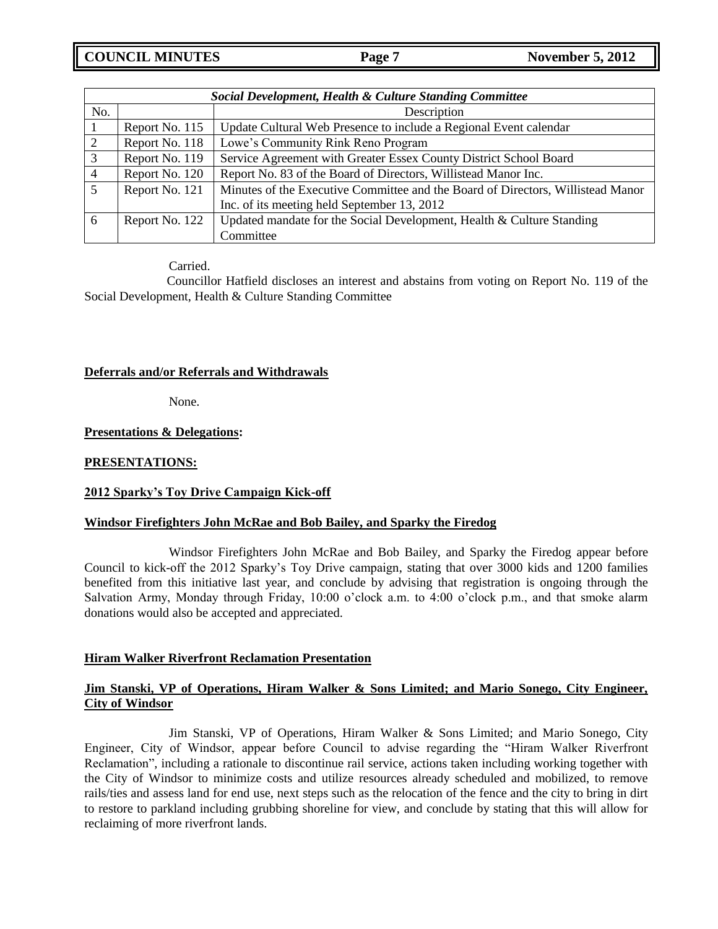**COUNCIL MINUTES Page 7** November 5, 2012

| Social Development, Health & Culture Standing Committee |                |                                                                                 |  |  |
|---------------------------------------------------------|----------------|---------------------------------------------------------------------------------|--|--|
| No.                                                     |                | Description                                                                     |  |  |
|                                                         | Report No. 115 | Update Cultural Web Presence to include a Regional Event calendar               |  |  |
|                                                         | Report No. 118 | Lowe's Community Rink Reno Program                                              |  |  |
| 3                                                       | Report No. 119 | Service Agreement with Greater Essex County District School Board               |  |  |
| 4                                                       | Report No. 120 | Report No. 83 of the Board of Directors, Willistead Manor Inc.                  |  |  |
|                                                         | Report No. 121 | Minutes of the Executive Committee and the Board of Directors, Willistead Manor |  |  |
|                                                         |                | Inc. of its meeting held September 13, 2012                                     |  |  |
| 6                                                       | Report No. 122 | Updated mandate for the Social Development, Health & Culture Standing           |  |  |
|                                                         |                | Committee                                                                       |  |  |

Carried.

Councillor Hatfield discloses an interest and abstains from voting on Report No. 119 of the Social Development, Health & Culture Standing Committee

#### **Deferrals and/or Referrals and Withdrawals**

None.

#### **Presentations & Delegations:**

#### **PRESENTATIONS:**

### **2012 Sparky's Toy Drive Campaign Kick-off**

#### **Windsor Firefighters John McRae and Bob Bailey, and Sparky the Firedog**

Windsor Firefighters John McRae and Bob Bailey, and Sparky the Firedog appear before Council to kick-off the 2012 Sparky"s Toy Drive campaign, stating that over 3000 kids and 1200 families benefited from this initiative last year, and conclude by advising that registration is ongoing through the Salvation Army, Monday through Friday, 10:00 o"clock a.m. to 4:00 o"clock p.m., and that smoke alarm donations would also be accepted and appreciated.

#### **Hiram Walker Riverfront Reclamation Presentation**

### **Jim Stanski, VP of Operations, Hiram Walker & Sons Limited; and Mario Sonego, City Engineer, City of Windsor**

Jim Stanski, VP of Operations, Hiram Walker & Sons Limited; and Mario Sonego, City Engineer, City of Windsor, appear before Council to advise regarding the "Hiram Walker Riverfront Reclamation", including a rationale to discontinue rail service, actions taken including working together with the City of Windsor to minimize costs and utilize resources already scheduled and mobilized, to remove rails/ties and assess land for end use, next steps such as the relocation of the fence and the city to bring in dirt to restore to parkland including grubbing shoreline for view, and conclude by stating that this will allow for reclaiming of more riverfront lands.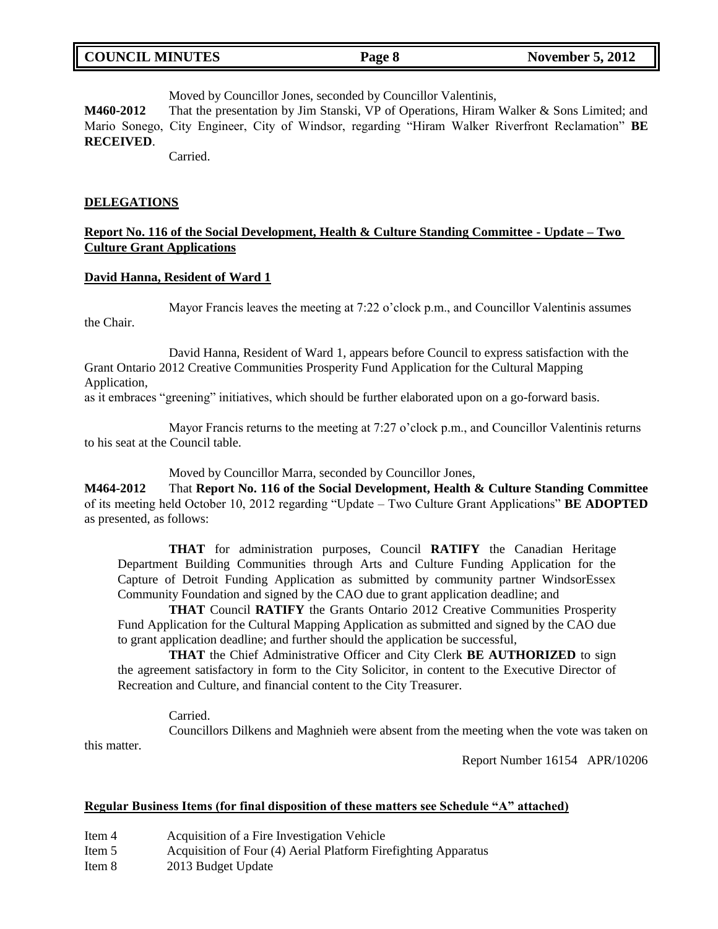Moved by Councillor Jones, seconded by Councillor Valentinis,

**M460-2012** That the presentation by Jim Stanski, VP of Operations, Hiram Walker & Sons Limited; and Mario Sonego, City Engineer, City of Windsor, regarding "Hiram Walker Riverfront Reclamation" **BE RECEIVED**.

Carried.

#### **DELEGATIONS**

the Chair.

### **Report No. 116 of the Social Development, Health & Culture Standing Committee - Update – Two Culture Grant Applications**

#### **David Hanna, Resident of Ward 1**

Mayor Francis leaves the meeting at 7:22 o'clock p.m., and Councillor Valentinis assumes

David Hanna, Resident of Ward 1, appears before Council to express satisfaction with the Grant Ontario 2012 Creative Communities Prosperity Fund Application for the Cultural Mapping Application,

as it embraces "greening" initiatives, which should be further elaborated upon on a go-forward basis.

Mayor Francis returns to the meeting at 7:27 o'clock p.m., and Councillor Valentinis returns to his seat at the Council table.

Moved by Councillor Marra, seconded by Councillor Jones,

**M464-2012** That **Report No. 116 of the Social Development, Health & Culture Standing Committee**  of its meeting held October 10, 2012 regarding "Update – Two Culture Grant Applications" **BE ADOPTED** as presented, as follows:

**THAT** for administration purposes, Council **RATIFY** the Canadian Heritage Department Building Communities through Arts and Culture Funding Application for the Capture of Detroit Funding Application as submitted by community partner WindsorEssex Community Foundation and signed by the CAO due to grant application deadline; and

**THAT** Council **RATIFY** the Grants Ontario 2012 Creative Communities Prosperity Fund Application for the Cultural Mapping Application as submitted and signed by the CAO due to grant application deadline; and further should the application be successful,

**THAT** the Chief Administrative Officer and City Clerk **BE AUTHORIZED** to sign the agreement satisfactory in form to the City Solicitor, in content to the Executive Director of Recreation and Culture, and financial content to the City Treasurer.

Carried.

Councillors Dilkens and Maghnieh were absent from the meeting when the vote was taken on this matter.

Report Number 16154 APR/10206

### **Regular Business Items (for final disposition of these matters see Schedule "A" attached)**

- Item 4 Acquisition of a Fire Investigation Vehicle
- Item 5 Acquisition of Four (4) Aerial Platform Firefighting Apparatus
- Item 8 2013 Budget Update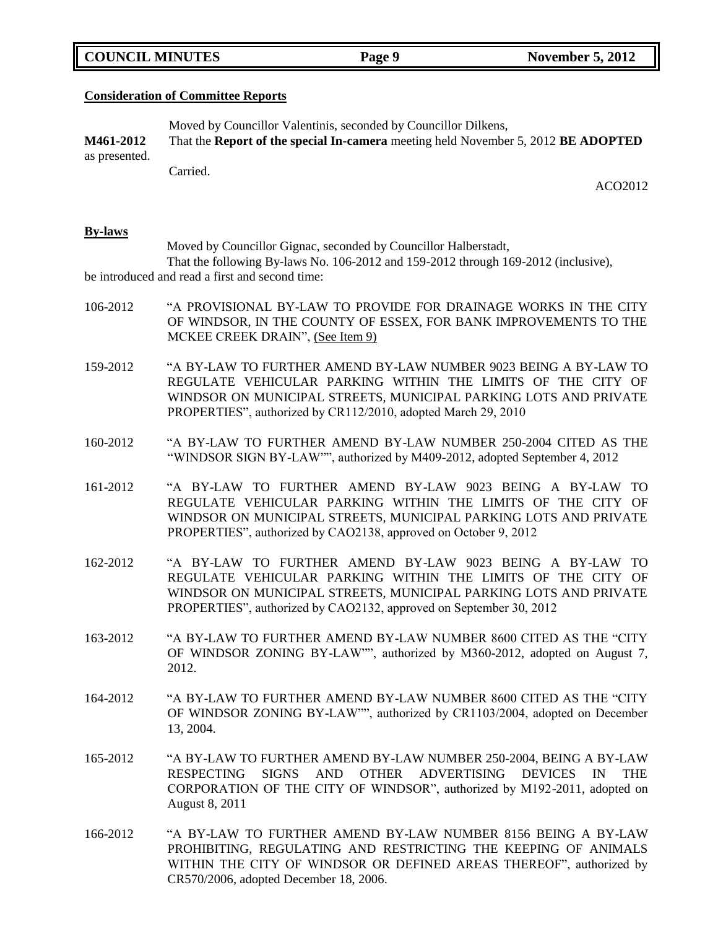|  | <b>COUNCIL MINUTES</b> |
|--|------------------------|
|--|------------------------|

#### **Consideration of Committee Reports**

Moved by Councillor Valentinis, seconded by Councillor Dilkens, **M461-2012** That the **Report of the special In-camera** meeting held November 5, 2012 **BE ADOPTED** as presented.

**Carried** 

ACO2012

#### **By-laws**

Moved by Councillor Gignac, seconded by Councillor Halberstadt, That the following By-laws No. 106-2012 and 159-2012 through 169-2012 (inclusive), be introduced and read a first and second time:

- 106-2012 "A PROVISIONAL BY-LAW TO PROVIDE FOR DRAINAGE WORKS IN THE CITY OF WINDSOR, IN THE COUNTY OF ESSEX, FOR BANK IMPROVEMENTS TO THE MCKEE CREEK DRAIN", (See Item 9)
- 159-2012 "A BY-LAW TO FURTHER AMEND BY-LAW NUMBER 9023 BEING A BY-LAW TO REGULATE VEHICULAR PARKING WITHIN THE LIMITS OF THE CITY OF WINDSOR ON MUNICIPAL STREETS, MUNICIPAL PARKING LOTS AND PRIVATE PROPERTIES", authorized by CR112/2010, adopted March 29, 2010
- 160-2012 "A BY-LAW TO FURTHER AMEND BY-LAW NUMBER 250-2004 CITED AS THE "WINDSOR SIGN BY-LAW"", authorized by M409-2012, adopted September 4, 2012
- 161-2012 "A BY-LAW TO FURTHER AMEND BY-LAW 9023 BEING A BY-LAW TO REGULATE VEHICULAR PARKING WITHIN THE LIMITS OF THE CITY OF WINDSOR ON MUNICIPAL STREETS, MUNICIPAL PARKING LOTS AND PRIVATE PROPERTIES", authorized by CAO2138, approved on October 9, 2012
- 162-2012 "A BY-LAW TO FURTHER AMEND BY-LAW 9023 BEING A BY-LAW TO REGULATE VEHICULAR PARKING WITHIN THE LIMITS OF THE CITY OF WINDSOR ON MUNICIPAL STREETS, MUNICIPAL PARKING LOTS AND PRIVATE PROPERTIES", authorized by CAO2132, approved on September 30, 2012
- 163-2012 "A BY-LAW TO FURTHER AMEND BY-LAW NUMBER 8600 CITED AS THE "CITY OF WINDSOR ZONING BY-LAW"", authorized by M360-2012, adopted on August 7, 2012.
- 164-2012 "A BY-LAW TO FURTHER AMEND BY-LAW NUMBER 8600 CITED AS THE "CITY OF WINDSOR ZONING BY-LAW"", authorized by CR1103/2004, adopted on December 13, 2004.
- 165-2012 "A BY-LAW TO FURTHER AMEND BY-LAW NUMBER 250-2004, BEING A BY-LAW RESPECTING SIGNS AND OTHER ADVERTISING DEVICES IN THE CORPORATION OF THE CITY OF WINDSOR", authorized by M192-2011, adopted on August 8, 2011
- 166-2012 "A BY-LAW TO FURTHER AMEND BY-LAW NUMBER 8156 BEING A BY-LAW PROHIBITING, REGULATING AND RESTRICTING THE KEEPING OF ANIMALS WITHIN THE CITY OF WINDSOR OR DEFINED AREAS THEREOF", authorized by CR570/2006, adopted December 18, 2006.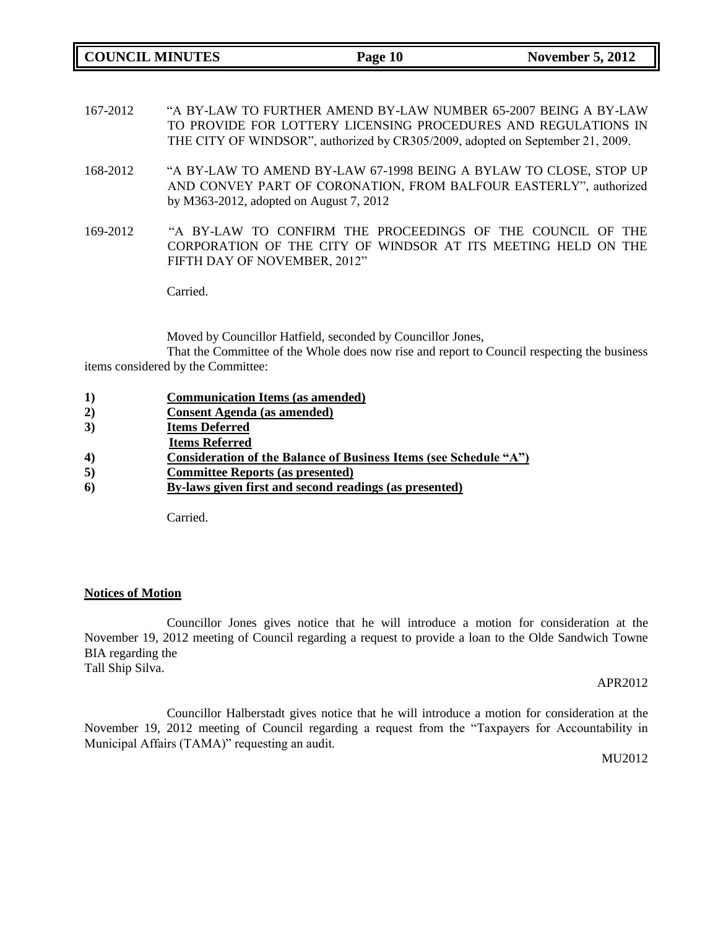**COUNCIL MINUTES Page 10** November 5, 2012

- 167-2012 "A BY-LAW TO FURTHER AMEND BY-LAW NUMBER 65-2007 BEING A BY-LAW TO PROVIDE FOR LOTTERY LICENSING PROCEDURES AND REGULATIONS IN THE CITY OF WINDSOR", authorized by CR305/2009, adopted on September 21, 2009.
- 168-2012 "A BY-LAW TO AMEND BY-LAW 67-1998 BEING A BYLAW TO CLOSE, STOP UP AND CONVEY PART OF CORONATION, FROM BALFOUR EASTERLY", authorized by M363-2012, adopted on August 7, 2012
- 169-2012 "A BY-LAW TO CONFIRM THE PROCEEDINGS OF THE COUNCIL OF THE CORPORATION OF THE CITY OF WINDSOR AT ITS MEETING HELD ON THE FIFTH DAY OF NOVEMBER, 2012"

Carried.

Moved by Councillor Hatfield, seconded by Councillor Jones,

That the Committee of the Whole does now rise and report to Council respecting the business items considered by the Committee:

- **1) Communication Items (as amended)**
- **2) Consent Agenda (as amended)**
- **3) Items Deferred**
- **Items Referred**
- **4) Consideration of the Balance of Business Items (see Schedule "A")**
- **5) Committee Reports (as presented)**
- **6) By-laws given first and second readings (as presented)**

Carried.

#### **Notices of Motion**

Councillor Jones gives notice that he will introduce a motion for consideration at the November 19, 2012 meeting of Council regarding a request to provide a loan to the Olde Sandwich Towne BIA regarding the Tall Ship Silva.

#### APR2012

Councillor Halberstadt gives notice that he will introduce a motion for consideration at the November 19, 2012 meeting of Council regarding a request from the "Taxpayers for Accountability in Municipal Affairs (TAMA)" requesting an audit.

MU2012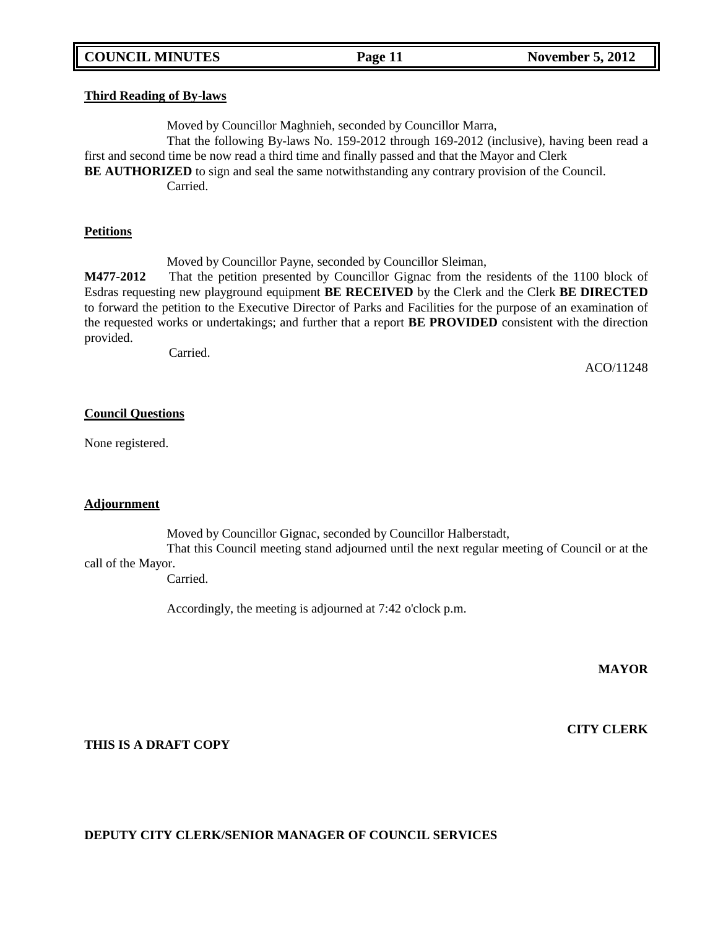#### **Third Reading of By-laws**

Moved by Councillor Maghnieh, seconded by Councillor Marra, That the following By-laws No. 159-2012 through 169-2012 (inclusive), having been read a first and second time be now read a third time and finally passed and that the Mayor and Clerk **BE AUTHORIZED** to sign and seal the same notwithstanding any contrary provision of the Council. Carried.

#### **Petitions**

Moved by Councillor Payne, seconded by Councillor Sleiman,

**M477-2012** That the petition presented by Councillor Gignac from the residents of the 1100 block of Esdras requesting new playground equipment **BE RECEIVED** by the Clerk and the Clerk **BE DIRECTED**  to forward the petition to the Executive Director of Parks and Facilities for the purpose of an examination of the requested works or undertakings; and further that a report **BE PROVIDED** consistent with the direction provided.

Carried.

ACO/11248

#### **Council Questions**

None registered.

#### **Adjournment**

Moved by Councillor Gignac, seconded by Councillor Halberstadt,

That this Council meeting stand adjourned until the next regular meeting of Council or at the call of the Mayor.

Carried.

Accordingly, the meeting is adjourned at 7:42 o'clock p.m.

**MAYOR**

**CITY CLERK**

**THIS IS A DRAFT COPY**

### **DEPUTY CITY CLERK/SENIOR MANAGER OF COUNCIL SERVICES**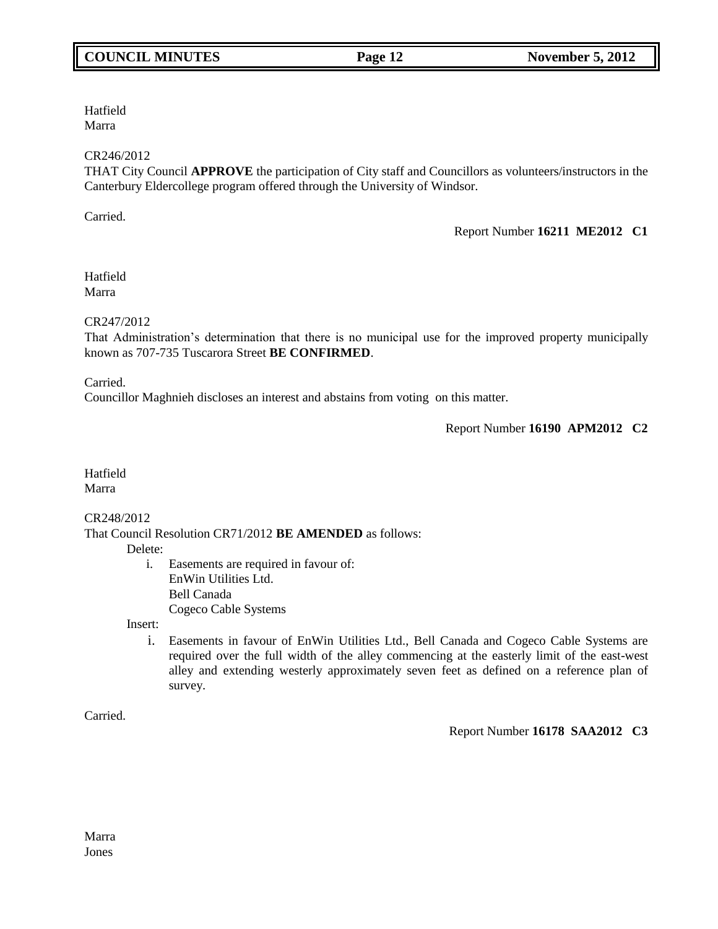# **COUNCIL MINUTES Page 12** November 5, 2012

Hatfield Marra

### CR246/2012

THAT City Council **APPROVE** the participation of City staff and Councillors as volunteers/instructors in the Canterbury Eldercollege program offered through the University of Windsor.

Carried.

Report Number **16211 ME2012 C1**

Hatfield Marra

CR247/2012

That Administration"s determination that there is no municipal use for the improved property municipally known as 707-735 Tuscarora Street **BE CONFIRMED**.

Carried.

Councillor Maghnieh discloses an interest and abstains from voting on this matter.

Report Number **16190 APM2012 C2**

Hatfield Marra

CR248/2012

That Council Resolution CR71/2012 **BE AMENDED** as follows:

Delete:

i. Easements are required in favour of: EnWin Utilities Ltd. Bell Canada Cogeco Cable Systems

Insert:

i. Easements in favour of EnWin Utilities Ltd., Bell Canada and Cogeco Cable Systems are required over the full width of the alley commencing at the easterly limit of the east-west alley and extending westerly approximately seven feet as defined on a reference plan of survey.

Carried.

### Report Number **16178 SAA2012 C3**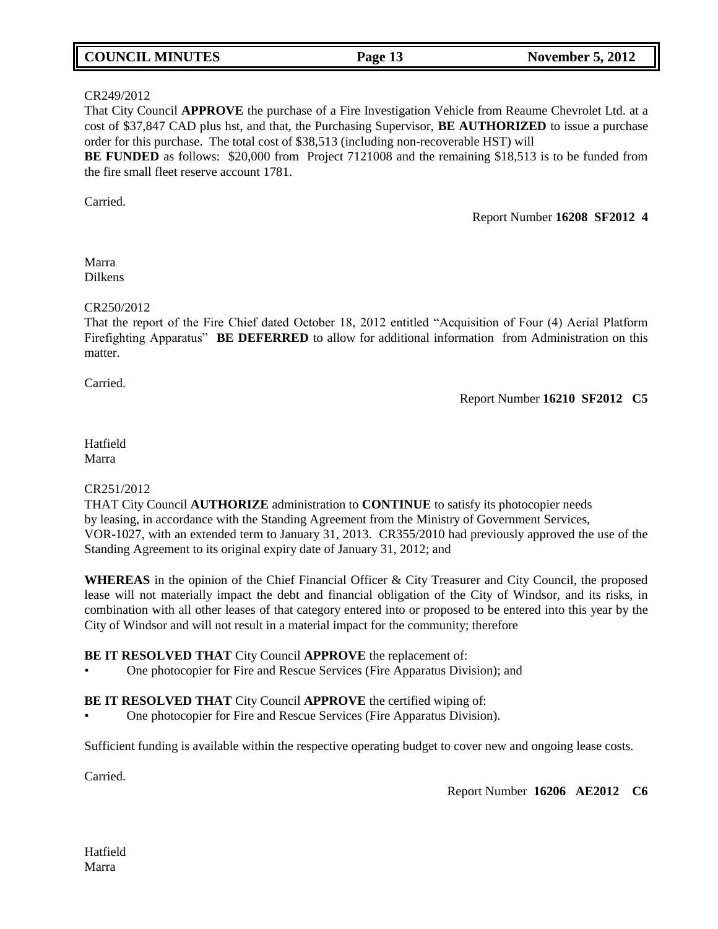| <b>COUNCIL MINUTES</b> | Page 13 | <b>November 5, 2012</b> |
|------------------------|---------|-------------------------|
|------------------------|---------|-------------------------|

#### CR249/2012

That City Council **APPROVE** the purchase of a Fire Investigation Vehicle from Reaume Chevrolet Ltd. at a cost of \$37,847 CAD plus hst, and that, the Purchasing Supervisor, **BE AUTHORIZED** to issue a purchase order for this purchase. The total cost of \$38,513 (including non-recoverable HST) will

**BE FUNDED** as follows: \$20,000 from Project 7121008 and the remaining \$18,513 is to be funded from the fire small fleet reserve account 1781.

Carried.

Report Number **16208 SF2012 4**

Marra Dilkens

#### CR250/2012

That the report of the Fire Chief dated October 18, 2012 entitled "Acquisition of Four (4) Aerial Platform Firefighting Apparatus" **BE DEFERRED** to allow for additional information from Administration on this matter.

Carried.

Report Number **16210 SF2012 C5**

#### Hatfield Marra

### CR251/2012

THAT City Council **AUTHORIZE** administration to **CONTINUE** to satisfy its photocopier needs by leasing, in accordance with the Standing Agreement from the Ministry of Government Services, VOR-1027, with an extended term to January 31, 2013. CR355/2010 had previously approved the use of the Standing Agreement to its original expiry date of January 31, 2012; and

**WHEREAS** in the opinion of the Chief Financial Officer & City Treasurer and City Council, the proposed lease will not materially impact the debt and financial obligation of the City of Windsor, and its risks, in combination with all other leases of that category entered into or proposed to be entered into this year by the City of Windsor and will not result in a material impact for the community; therefore

### **BE IT RESOLVED THAT** City Council **APPROVE** the replacement of:

• One photocopier for Fire and Rescue Services (Fire Apparatus Division); and

### **BE IT RESOLVED THAT** City Council **APPROVE** the certified wiping of:

• One photocopier for Fire and Rescue Services (Fire Apparatus Division).

Sufficient funding is available within the respective operating budget to cover new and ongoing lease costs.

Carried.

Report Number **16206 AE2012 C6**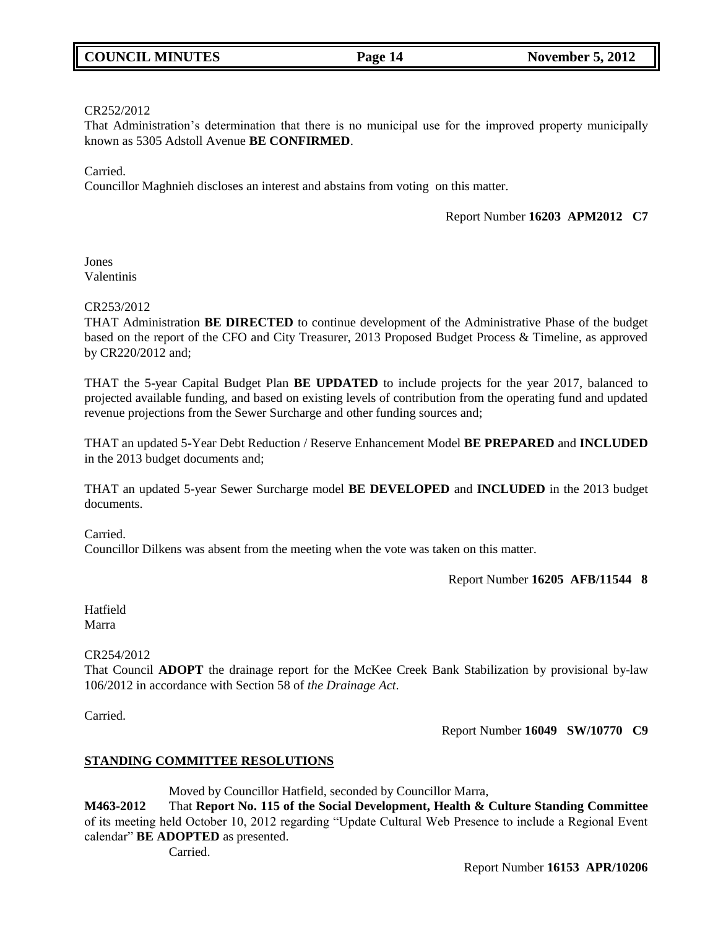#### CR252/2012

That Administration"s determination that there is no municipal use for the improved property municipally known as 5305 Adstoll Avenue **BE CONFIRMED**.

**Carried** 

Councillor Maghnieh discloses an interest and abstains from voting on this matter.

Report Number **16203 APM2012 C7**

Jones Valentinis

#### CR253/2012

THAT Administration **BE DIRECTED** to continue development of the Administrative Phase of the budget based on the report of the CFO and City Treasurer, 2013 Proposed Budget Process & Timeline, as approved by CR220/2012 and;

THAT the 5-year Capital Budget Plan **BE UPDATED** to include projects for the year 2017, balanced to projected available funding, and based on existing levels of contribution from the operating fund and updated revenue projections from the Sewer Surcharge and other funding sources and;

THAT an updated 5-Year Debt Reduction / Reserve Enhancement Model **BE PREPARED** and **INCLUDED** in the 2013 budget documents and;

THAT an updated 5-year Sewer Surcharge model **BE DEVELOPED** and **INCLUDED** in the 2013 budget documents.

Carried.

Councillor Dilkens was absent from the meeting when the vote was taken on this matter.

Report Number **16205 AFB/11544 8**

Hatfield Marra

### CR254/2012

That Council **ADOPT** the drainage report for the McKee Creek Bank Stabilization by provisional by-law 106/2012 in accordance with Section 58 of *the Drainage Act*.

Carried.

Report Number **16049 SW/10770 C9**

### **STANDING COMMITTEE RESOLUTIONS**

Moved by Councillor Hatfield, seconded by Councillor Marra,

**M463-2012** That **Report No. 115 of the Social Development, Health & Culture Standing Committee**  of its meeting held October 10, 2012 regarding "Update Cultural Web Presence to include a Regional Event calendar" **BE ADOPTED** as presented.

Carried.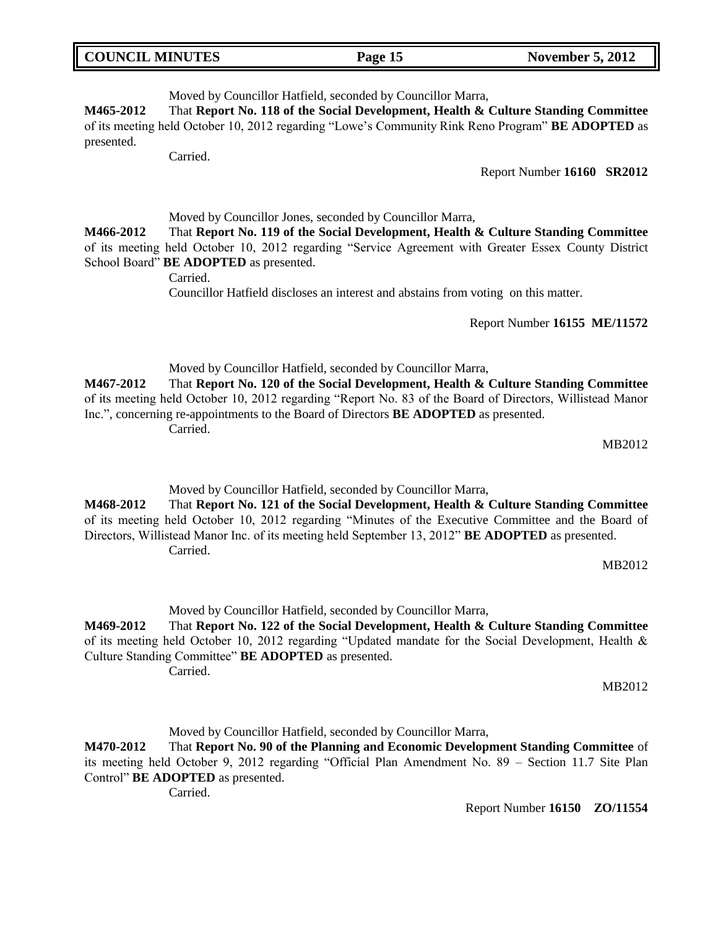| <b>COUNCIL MINUTES</b> | Page 15 | <b>November 5, 2012</b> |
|------------------------|---------|-------------------------|
|                        |         |                         |

Moved by Councillor Hatfield, seconded by Councillor Marra,

**M465-2012** That **Report No. 118 of the Social Development, Health & Culture Standing Committee**  of its meeting held October 10, 2012 regarding "Lowe"s Community Rink Reno Program" **BE ADOPTED** as presented.

Carried.

Report Number **16160 SR2012**

Moved by Councillor Jones, seconded by Councillor Marra,

**M466-2012** That **Report No. 119 of the Social Development, Health & Culture Standing Committee**  of its meeting held October 10, 2012 regarding "Service Agreement with Greater Essex County District School Board" **BE ADOPTED** as presented.

Carried.

Councillor Hatfield discloses an interest and abstains from voting on this matter.

Report Number **16155 ME/11572**

Moved by Councillor Hatfield, seconded by Councillor Marra,

**M467-2012** That **Report No. 120 of the Social Development, Health & Culture Standing Committee**  of its meeting held October 10, 2012 regarding "Report No. 83 of the Board of Directors, Willistead Manor Inc.", concerning re-appointments to the Board of Directors **BE ADOPTED** as presented. Carried.

MB2012

Moved by Councillor Hatfield, seconded by Councillor Marra,

**M468-2012** That **Report No. 121 of the Social Development, Health & Culture Standing Committee**  of its meeting held October 10, 2012 regarding "Minutes of the Executive Committee and the Board of Directors, Willistead Manor Inc. of its meeting held September 13, 2012" **BE ADOPTED** as presented. Carried.

MB2012

Moved by Councillor Hatfield, seconded by Councillor Marra,

**M469-2012** That **Report No. 122 of the Social Development, Health & Culture Standing Committee**  of its meeting held October 10, 2012 regarding "Updated mandate for the Social Development, Health & Culture Standing Committee" **BE ADOPTED** as presented. Carried.

MB2012

Moved by Councillor Hatfield, seconded by Councillor Marra,

**M470-2012** That **Report No. 90 of the Planning and Economic Development Standing Committee** of its meeting held October 9, 2012 regarding "Official Plan Amendment No. 89 – Section 11.7 Site Plan Control" **BE ADOPTED** as presented.

Carried.

Report Number **16150 ZO/11554**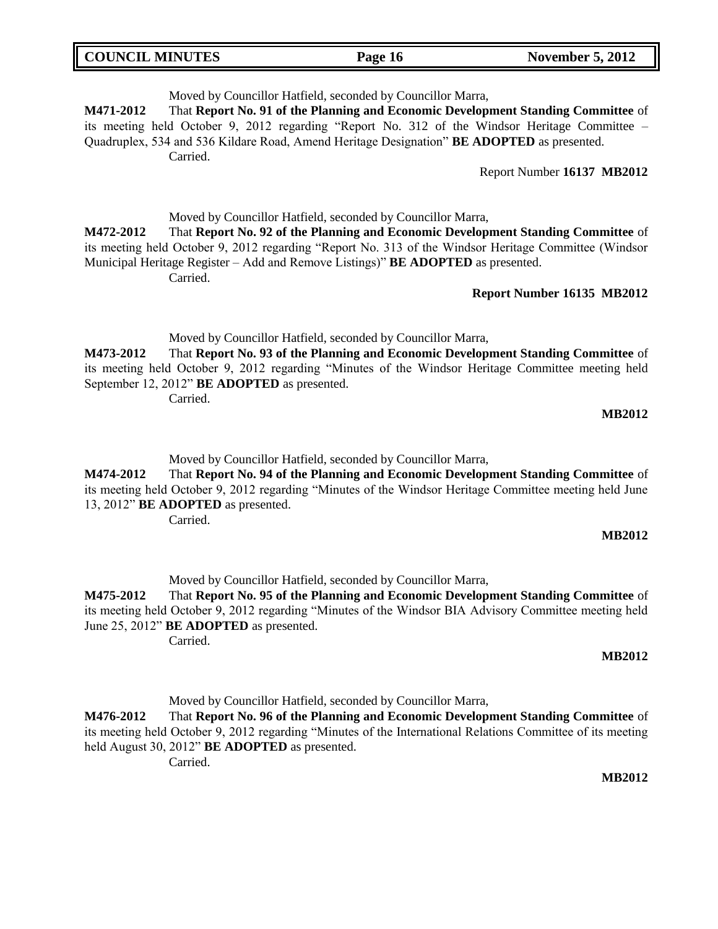| <b>COUNCIL MINUTES</b> | Page 16 | <b>November 5, 2012</b> |
|------------------------|---------|-------------------------|
|                        |         |                         |

Moved by Councillor Hatfield, seconded by Councillor Marra, **M471-2012** That **Report No. 91 of the Planning and Economic Development Standing Committee** of its meeting held October 9, 2012 regarding "Report No. 312 of the Windsor Heritage Committee – Quadruplex, 534 and 536 Kildare Road, Amend Heritage Designation" **BE ADOPTED** as presented. Carried. Report Number **16137 MB2012** Moved by Councillor Hatfield, seconded by Councillor Marra, **M472-2012** That **Report No. 92 of the Planning and Economic Development Standing Committee** of

its meeting held October 9, 2012 regarding "Report No. 313 of the Windsor Heritage Committee (Windsor Municipal Heritage Register – Add and Remove Listings)" **BE ADOPTED** as presented. Carried.

**Report Number 16135 MB2012**

Moved by Councillor Hatfield, seconded by Councillor Marra,

**M473-2012** That **Report No. 93 of the Planning and Economic Development Standing Committee** of its meeting held October 9, 2012 regarding "Minutes of the Windsor Heritage Committee meeting held September 12, 2012" **BE ADOPTED** as presented.

Carried.

**MB2012**

Moved by Councillor Hatfield, seconded by Councillor Marra,

**M474-2012** That **Report No. 94 of the Planning and Economic Development Standing Committee** of its meeting held October 9, 2012 regarding "Minutes of the Windsor Heritage Committee meeting held June 13, 2012" **BE ADOPTED** as presented.

Carried.

### **MB2012**

Moved by Councillor Hatfield, seconded by Councillor Marra,

**M475-2012** That **Report No. 95 of the Planning and Economic Development Standing Committee** of its meeting held October 9, 2012 regarding "Minutes of the Windsor BIA Advisory Committee meeting held June 25, 2012" **BE ADOPTED** as presented.

Carried.

### **MB2012**

Moved by Councillor Hatfield, seconded by Councillor Marra,

**M476-2012** That **Report No. 96 of the Planning and Economic Development Standing Committee** of its meeting held October 9, 2012 regarding "Minutes of the International Relations Committee of its meeting held August 30, 2012" **BE ADOPTED** as presented. Carried.

**MB2012**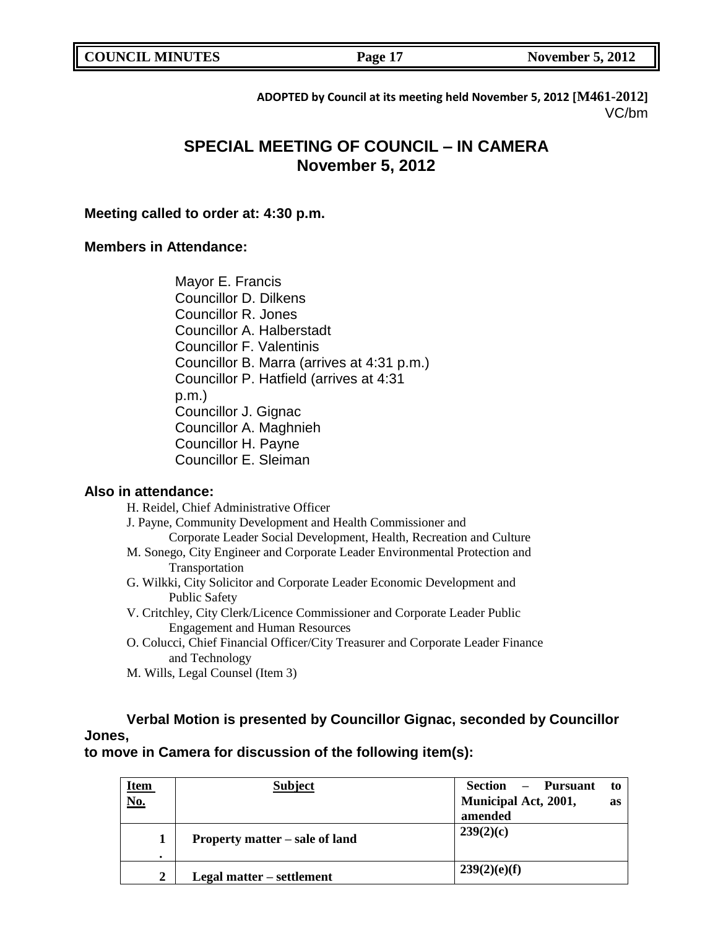| <b>COUNCIL MINUTES</b> | Page 17 | <b>November 5, 2012</b> |
|------------------------|---------|-------------------------|
|                        |         |                         |

**ADOPTED by Council at its meeting held November 5, 2012 [M461-2012]** VC/bm

# **SPECIAL MEETING OF COUNCIL – IN CAMERA November 5, 2012**

### **Meeting called to order at: 4:30 p.m.**

### **Members in Attendance:**

Mayor E. Francis Councillor D. Dilkens Councillor R. Jones Councillor A. Halberstadt Councillor F. Valentinis Councillor B. Marra (arrives at 4:31 p.m.) Councillor P. Hatfield (arrives at 4:31 p.m.) Councillor J. Gignac Councillor A. Maghnieh Councillor H. Payne Councillor E. Sleiman

## **Also in attendance:**

H. Reidel, Chief Administrative Officer

J. Payne, Community Development and Health Commissioner and Corporate Leader Social Development, Health, Recreation and Culture

- M. Sonego, City Engineer and Corporate Leader Environmental Protection and Transportation
- G. Wilkki, City Solicitor and Corporate Leader Economic Development and Public Safety
- V. Critchley, City Clerk/Licence Commissioner and Corporate Leader Public Engagement and Human Resources
- O. Colucci, Chief Financial Officer/City Treasurer and Corporate Leader Finance and Technology
- M. Wills, Legal Counsel (Item 3)

# **Verbal Motion is presented by Councillor Gignac, seconded by Councillor Jones,**

**to move in Camera for discussion of the following item(s):**

|                    | <b>Subject</b>                 | Section – Pursuant<br>to          |
|--------------------|--------------------------------|-----------------------------------|
| <u>Item</u><br>No. |                                | Municipal Act, 2001,<br><b>as</b> |
|                    |                                | amended                           |
| 1<br>$\bullet$     | Property matter – sale of land | 239(2)(c)                         |
| $\overline{2}$     | Legal matter – settlement      | 239(2)(e)(f)                      |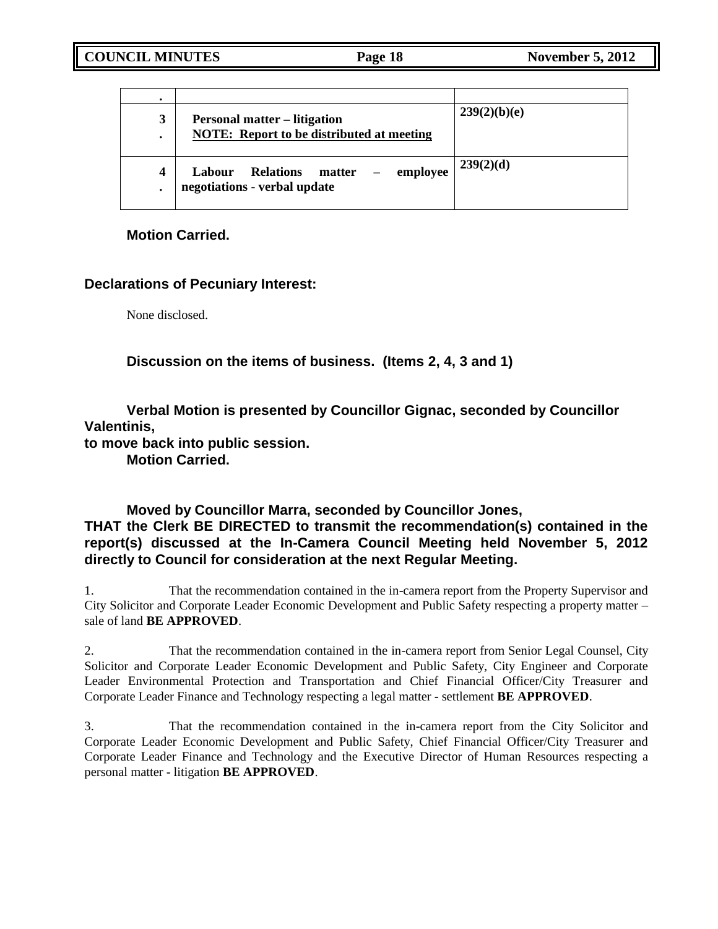| ٠      |                                                                                         |              |
|--------|-----------------------------------------------------------------------------------------|--------------|
| 3<br>٠ | <b>Personal matter – litigation</b><br><b>NOTE:</b> Report to be distributed at meeting | 239(2)(b)(e) |
| 4<br>٠ | employee<br><b>Relations</b><br>matter<br>Labour<br>negotiations - verbal update        | 239(2)(d)    |

**Motion Carried.**

# **Declarations of Pecuniary Interest:**

None disclosed.

**Discussion on the items of business. (Items 2, 4, 3 and 1)**

**Verbal Motion is presented by Councillor Gignac, seconded by Councillor Valentinis,**

**to move back into public session.**

**Motion Carried.**

# **Moved by Councillor Marra, seconded by Councillor Jones, THAT the Clerk BE DIRECTED to transmit the recommendation(s) contained in the report(s) discussed at the In-Camera Council Meeting held November 5, 2012 directly to Council for consideration at the next Regular Meeting.**

1. That the recommendation contained in the in-camera report from the Property Supervisor and City Solicitor and Corporate Leader Economic Development and Public Safety respecting a property matter – sale of land **BE APPROVED**.

2. That the recommendation contained in the in-camera report from Senior Legal Counsel, City Solicitor and Corporate Leader Economic Development and Public Safety, City Engineer and Corporate Leader Environmental Protection and Transportation and Chief Financial Officer/City Treasurer and Corporate Leader Finance and Technology respecting a legal matter - settlement **BE APPROVED**.

3. That the recommendation contained in the in-camera report from the City Solicitor and Corporate Leader Economic Development and Public Safety, Chief Financial Officer/City Treasurer and Corporate Leader Finance and Technology and the Executive Director of Human Resources respecting a personal matter - litigation **BE APPROVED**.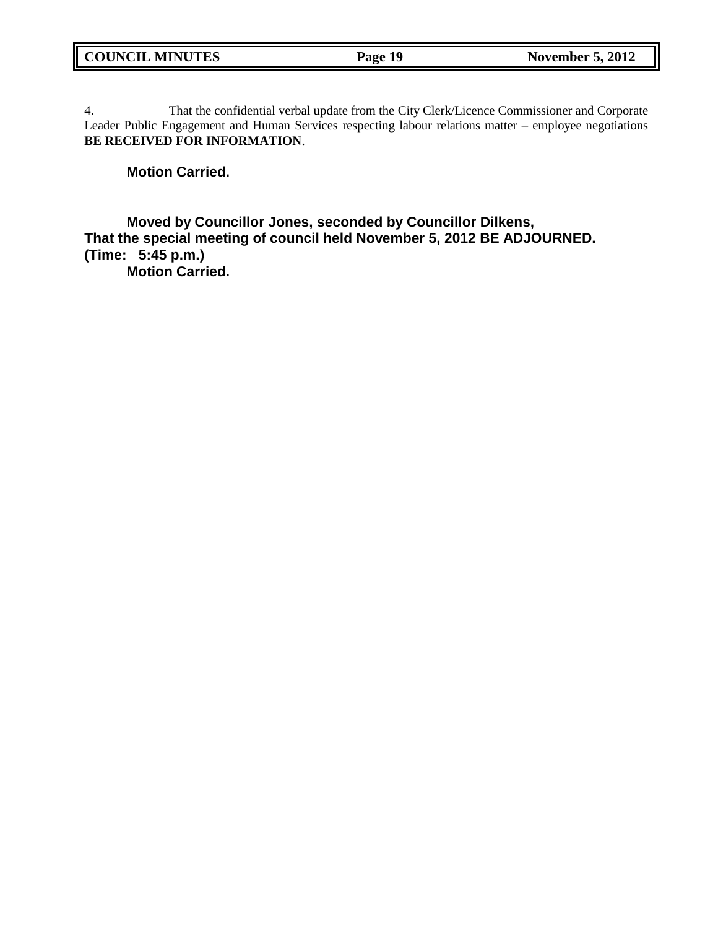4. That the confidential verbal update from the City Clerk/Licence Commissioner and Corporate Leader Public Engagement and Human Services respecting labour relations matter – employee negotiations **BE RECEIVED FOR INFORMATION**.

### **Motion Carried.**

**Moved by Councillor Jones, seconded by Councillor Dilkens, That the special meeting of council held November 5, 2012 BE ADJOURNED. (Time: 5:45 p.m.)**

**Motion Carried.**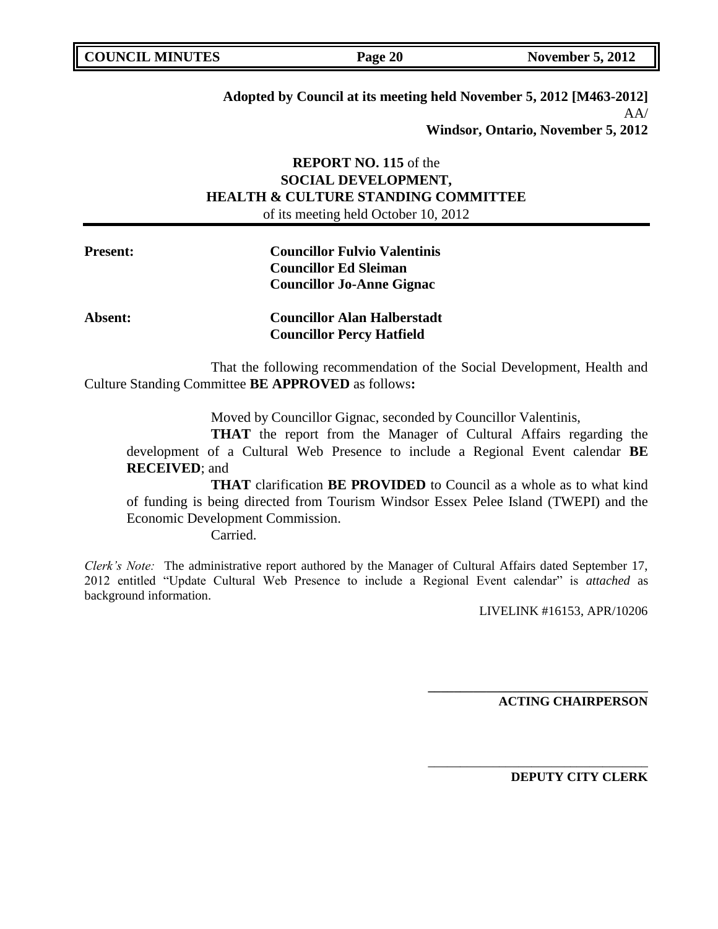| <b>COUNCIL MINUTES</b> | Page 20 | <b>November 5, 2012</b> |
|------------------------|---------|-------------------------|
|                        |         |                         |

**Adopted by Council at its meeting held November 5, 2012 [M463-2012]**  $AA/$ **Windsor, Ontario, November 5, 2012**

# **REPORT NO. 115** of the **SOCIAL DEVELOPMENT, HEALTH & CULTURE STANDING COMMITTEE** of its meeting held October 10, 2012

| <b>Present:</b> | <b>Councillor Fulvio Valentinis</b> |
|-----------------|-------------------------------------|
|                 | <b>Councillor Ed Sleiman</b>        |
|                 | <b>Councillor Jo-Anne Gignac</b>    |
| Absent:         | <b>Councillor Alan Halberstadt</b>  |

That the following recommendation of the Social Development, Health and Culture Standing Committee **BE APPROVED** as follows**:** 

**Councillor Percy Hatfield**

Moved by Councillor Gignac, seconded by Councillor Valentinis,

**THAT** the report from the Manager of Cultural Affairs regarding the development of a Cultural Web Presence to include a Regional Event calendar **BE RECEIVED**; and

**THAT** clarification **BE PROVIDED** to Council as a whole as to what kind of funding is being directed from Tourism Windsor Essex Pelee Island (TWEPI) and the Economic Development Commission.

Carried.

*Clerk's Note:* The administrative report authored by the Manager of Cultural Affairs dated September 17, 2012 entitled "Update Cultural Web Presence to include a Regional Event calendar" is *attached* as background information.

LIVELINK #16153, APR/10206

**ACTING CHAIRPERSON**

**\_\_\_\_\_\_\_\_\_\_\_\_\_\_\_\_\_\_\_\_\_\_\_\_\_\_\_\_\_\_\_\_\_\_**

\_\_\_\_\_\_\_\_\_\_\_\_\_\_\_\_\_\_\_\_\_\_\_\_\_\_\_\_\_\_\_\_\_\_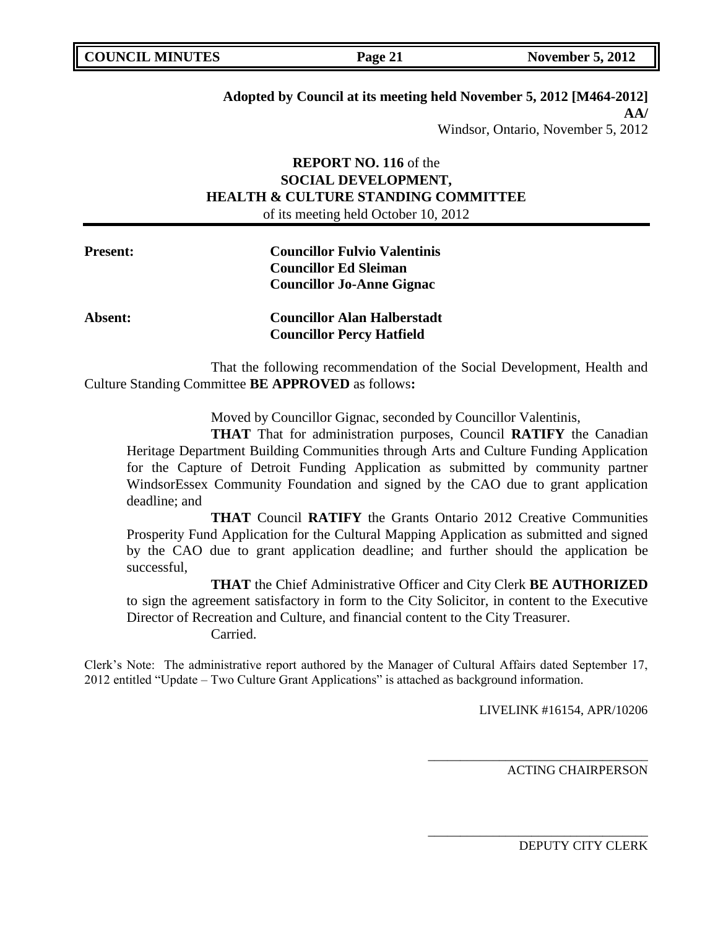| <b>COUNCIL MINUTES</b> |  |
|------------------------|--|
|                        |  |

# **Adopted by Council at its meeting held November 5, 2012 [M464-2012] AA/**

Windsor, Ontario, November 5, 2012

# **REPORT NO. 116** of the **SOCIAL DEVELOPMENT, HEALTH & CULTURE STANDING COMMITTEE** of its meeting held October 10, 2012

| <b>Present:</b> | <b>Councillor Fulvio Valentinis</b> |
|-----------------|-------------------------------------|
|                 | <b>Councillor Ed Sleiman</b>        |
|                 | <b>Councillor Jo-Anne Gignac</b>    |
| <b>Absent:</b>  | <b>Councillor Alan Halberstadt</b>  |

That the following recommendation of the Social Development, Health and Culture Standing Committee **BE APPROVED** as follows**:** 

**Councillor Percy Hatfield**

Moved by Councillor Gignac, seconded by Councillor Valentinis,

**THAT** That for administration purposes, Council **RATIFY** the Canadian Heritage Department Building Communities through Arts and Culture Funding Application for the Capture of Detroit Funding Application as submitted by community partner WindsorEssex Community Foundation and signed by the CAO due to grant application deadline; and

**THAT** Council **RATIFY** the Grants Ontario 2012 Creative Communities Prosperity Fund Application for the Cultural Mapping Application as submitted and signed by the CAO due to grant application deadline; and further should the application be successful,

**THAT** the Chief Administrative Officer and City Clerk **BE AUTHORIZED** to sign the agreement satisfactory in form to the City Solicitor, in content to the Executive Director of Recreation and Culture, and financial content to the City Treasurer.

Carried.

Clerk"s Note: The administrative report authored by the Manager of Cultural Affairs dated September 17, 2012 entitled "Update – Two Culture Grant Applications" is attached as background information.

LIVELINK #16154, APR/10206

\_\_\_\_\_\_\_\_\_\_\_\_\_\_\_\_\_\_\_\_\_\_\_\_\_\_\_\_\_\_\_\_\_\_

\_\_\_\_\_\_\_\_\_\_\_\_\_\_\_\_\_\_\_\_\_\_\_\_\_\_\_\_\_\_\_\_\_\_

ACTING CHAIRPERSON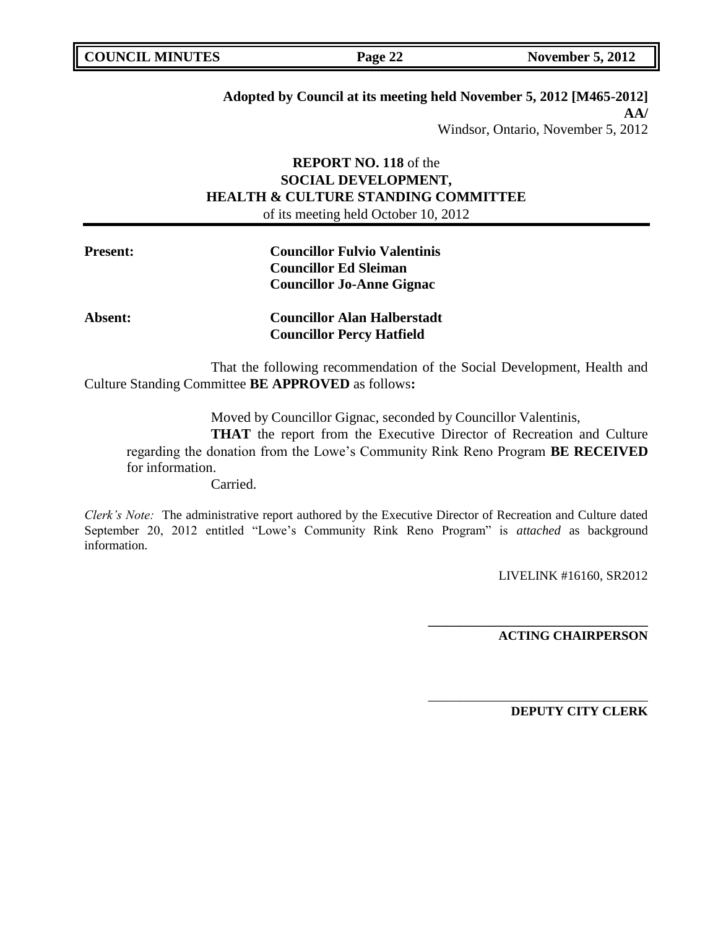# **Adopted by Council at its meeting held November 5, 2012 [M465-2012] AA/** Windsor, Ontario, November 5, 2012

# **REPORT NO. 118** of the **SOCIAL DEVELOPMENT, HEALTH & CULTURE STANDING COMMITTEE** of its meeting held October 10, 2012

| <b>Present:</b> | <b>Councillor Fulvio Valentinis</b> |
|-----------------|-------------------------------------|
|                 | <b>Councillor Ed Sleiman</b>        |
|                 | <b>Councillor Jo-Anne Gignac</b>    |
| <b>Absent:</b>  | <b>Councillor Alan Halberstadt</b>  |
|                 | <b>Councillor Percy Hatfield</b>    |

That the following recommendation of the Social Development, Health and Culture Standing Committee **BE APPROVED** as follows**:** 

Moved by Councillor Gignac, seconded by Councillor Valentinis,

**THAT** the report from the Executive Director of Recreation and Culture regarding the donation from the Lowe"s Community Rink Reno Program **BE RECEIVED** for information.

Carried.

*Clerk's Note:* The administrative report authored by the Executive Director of Recreation and Culture dated September 20, 2012 entitled "Lowe"s Community Rink Reno Program" is *attached* as background information.

LIVELINK #16160, SR2012

**ACTING CHAIRPERSON**

**\_\_\_\_\_\_\_\_\_\_\_\_\_\_\_\_\_\_\_\_\_\_\_\_\_\_\_\_\_\_\_\_\_\_**

\_\_\_\_\_\_\_\_\_\_\_\_\_\_\_\_\_\_\_\_\_\_\_\_\_\_\_\_\_\_\_\_\_\_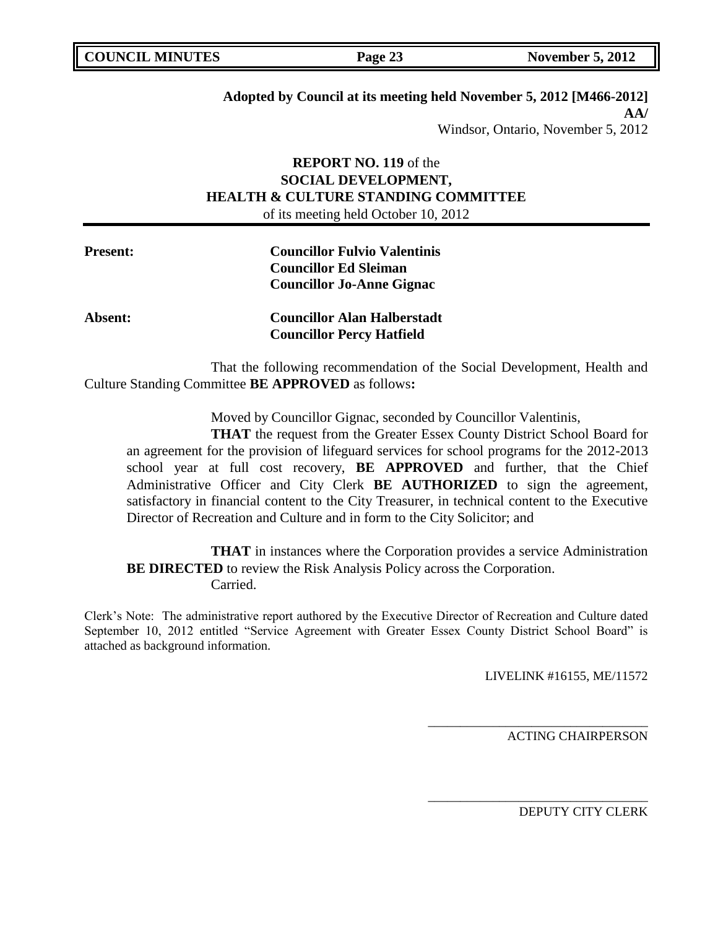| <b>COUNCIL MINUTES</b> |  |  |
|------------------------|--|--|
|------------------------|--|--|

## **Adopted by Council at its meeting held November 5, 2012 [M466-2012] AA/** Windsor, Ontario, November 5, 2012

# **REPORT NO. 119** of the **SOCIAL DEVELOPMENT, HEALTH & CULTURE STANDING COMMITTEE** of its meeting held October 10, 2012

| <b>Present:</b> | <b>Councillor Fulvio Valentinis</b><br><b>Councillor Ed Sleiman</b><br><b>Councillor Jo-Anne Gignac</b> |
|-----------------|---------------------------------------------------------------------------------------------------------|
| <b>Absent:</b>  | <b>Councillor Alan Halberstadt</b><br><b>Councillor Percy Hatfield</b>                                  |

That the following recommendation of the Social Development, Health and Culture Standing Committee **BE APPROVED** as follows**:** 

Moved by Councillor Gignac, seconded by Councillor Valentinis,

**THAT** the request from the Greater Essex County District School Board for an agreement for the provision of lifeguard services for school programs for the 2012-2013 school year at full cost recovery, **BE APPROVED** and further, that the Chief Administrative Officer and City Clerk **BE AUTHORIZED** to sign the agreement, satisfactory in financial content to the City Treasurer, in technical content to the Executive Director of Recreation and Culture and in form to the City Solicitor; and

**THAT** in instances where the Corporation provides a service Administration **BE DIRECTED** to review the Risk Analysis Policy across the Corporation. Carried.

Clerk"s Note: The administrative report authored by the Executive Director of Recreation and Culture dated September 10, 2012 entitled "Service Agreement with Greater Essex County District School Board" is attached as background information.

LIVELINK #16155, ME/11572

\_\_\_\_\_\_\_\_\_\_\_\_\_\_\_\_\_\_\_\_\_\_\_\_\_\_\_\_\_\_\_\_\_\_

\_\_\_\_\_\_\_\_\_\_\_\_\_\_\_\_\_\_\_\_\_\_\_\_\_\_\_\_\_\_\_\_\_\_

ACTING CHAIRPERSON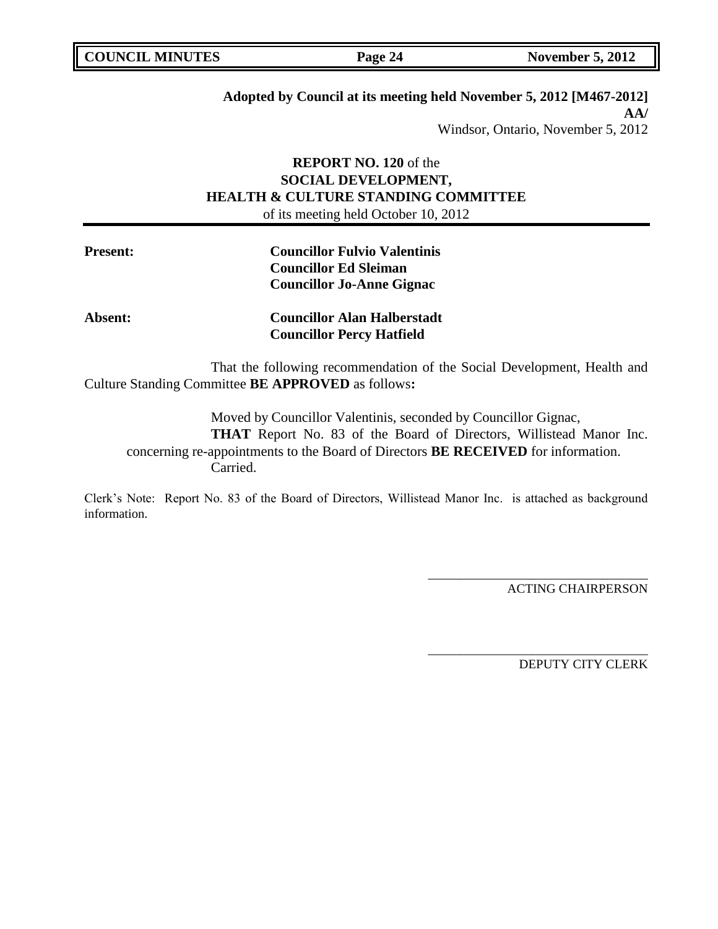| <b>COUNCIL MINUTES</b> |  |  |
|------------------------|--|--|
|------------------------|--|--|

# **Adopted by Council at its meeting held November 5, 2012 [M467-2012] AA/** Windsor, Ontario, November 5, 2012

# **REPORT NO. 120** of the **SOCIAL DEVELOPMENT, HEALTH & CULTURE STANDING COMMITTEE** of its meeting held October 10, 2012

| <b>Present:</b> | <b>Councillor Fulvio Valentinis</b> |
|-----------------|-------------------------------------|
|                 | <b>Councillor Ed Sleiman</b>        |
|                 | <b>Councillor Jo-Anne Gignac</b>    |
| <b>Absent:</b>  | <b>Councillor Alan Halberstadt</b>  |
|                 | <b>Councillor Percy Hatfield</b>    |

That the following recommendation of the Social Development, Health and Culture Standing Committee **BE APPROVED** as follows**:** 

Moved by Councillor Valentinis, seconded by Councillor Gignac,

**THAT** Report No. 83 of the Board of Directors, Willistead Manor Inc. concerning re-appointments to the Board of Directors **BE RECEIVED** for information. Carried.

Clerk"s Note: Report No. 83 of the Board of Directors, Willistead Manor Inc. is attached as background information.

ACTING CHAIRPERSON

\_\_\_\_\_\_\_\_\_\_\_\_\_\_\_\_\_\_\_\_\_\_\_\_\_\_\_\_\_\_\_\_\_\_

\_\_\_\_\_\_\_\_\_\_\_\_\_\_\_\_\_\_\_\_\_\_\_\_\_\_\_\_\_\_\_\_\_\_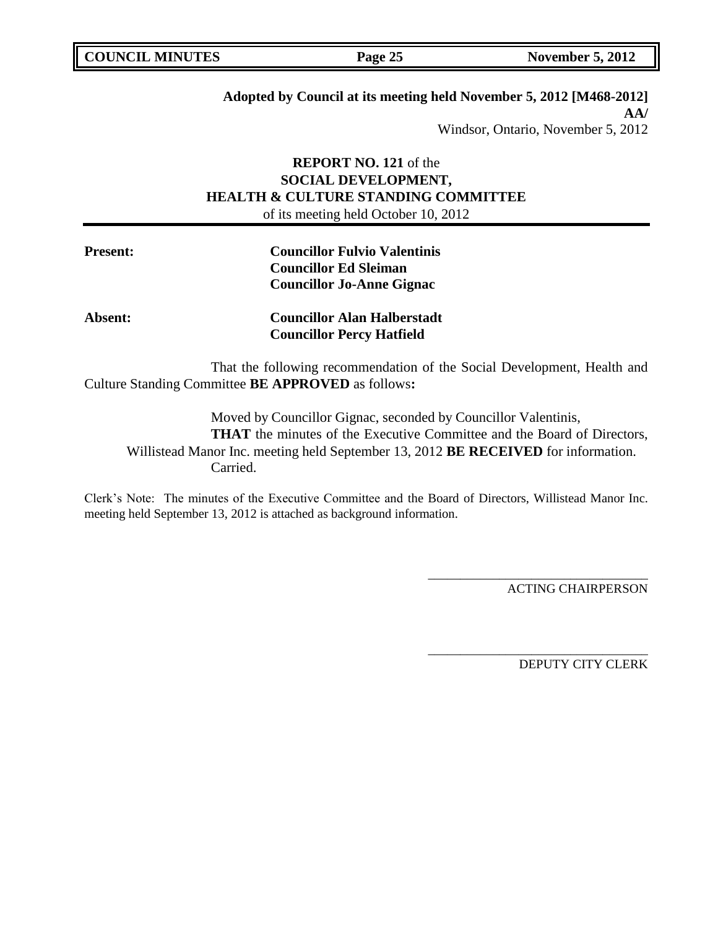| <b>COUNCIL MINUTES</b> |  |
|------------------------|--|
|                        |  |

# **Adopted by Council at its meeting held November 5, 2012 [M468-2012] AA/** Windsor, Ontario, November 5, 2012

# **REPORT NO. 121** of the **SOCIAL DEVELOPMENT, HEALTH & CULTURE STANDING COMMITTEE** of its meeting held October 10, 2012

| <b>Present:</b> | <b>Councillor Fulvio Valentinis</b> |  |
|-----------------|-------------------------------------|--|
|                 | <b>Councillor Ed Sleiman</b>        |  |
|                 | <b>Councillor Jo-Anne Gignac</b>    |  |
| <b>Absent:</b>  | <b>Councillor Alan Halberstadt</b>  |  |
|                 | <b>Councillor Percy Hatfield</b>    |  |
|                 |                                     |  |

That the following recommendation of the Social Development, Health and Culture Standing Committee **BE APPROVED** as follows**:** 

Moved by Councillor Gignac, seconded by Councillor Valentinis, **THAT** the minutes of the Executive Committee and the Board of Directors, Willistead Manor Inc. meeting held September 13, 2012 **BE RECEIVED** for information. Carried.

Clerk"s Note: The minutes of the Executive Committee and the Board of Directors, Willistead Manor Inc. meeting held September 13, 2012 is attached as background information.

ACTING CHAIRPERSON

\_\_\_\_\_\_\_\_\_\_\_\_\_\_\_\_\_\_\_\_\_\_\_\_\_\_\_\_\_\_\_\_\_\_

\_\_\_\_\_\_\_\_\_\_\_\_\_\_\_\_\_\_\_\_\_\_\_\_\_\_\_\_\_\_\_\_\_\_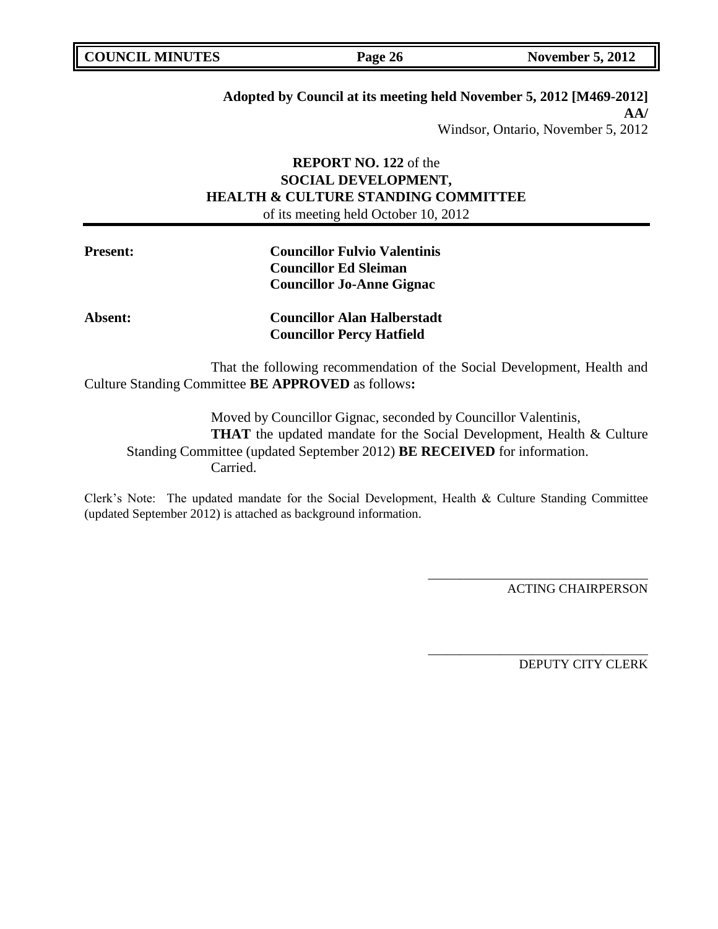| <b>COUNCIL MINUTES</b> | Page 26 | <b>November 5, 2012</b> |
|------------------------|---------|-------------------------|

# **Adopted by Council at its meeting held November 5, 2012 [M469-2012] AA/**

Windsor, Ontario, November 5, 2012

# **REPORT NO. 122** of the **SOCIAL DEVELOPMENT, HEALTH & CULTURE STANDING COMMITTEE** of its meeting held October 10, 2012

| <b>Present:</b> | <b>Councillor Fulvio Valentinis</b> |  |
|-----------------|-------------------------------------|--|
|                 | <b>Councillor Ed Sleiman</b>        |  |
|                 | <b>Councillor Jo-Anne Gignac</b>    |  |
| <b>Absent:</b>  | <b>Councillor Alan Halberstadt</b>  |  |
|                 | <b>Councillor Percy Hatfield</b>    |  |
|                 |                                     |  |

That the following recommendation of the Social Development, Health and Culture Standing Committee **BE APPROVED** as follows**:** 

Moved by Councillor Gignac, seconded by Councillor Valentinis, **THAT** the updated mandate for the Social Development, Health & Culture Standing Committee (updated September 2012) **BE RECEIVED** for information. Carried.

Clerk"s Note: The updated mandate for the Social Development, Health & Culture Standing Committee (updated September 2012) is attached as background information.

ACTING CHAIRPERSON

\_\_\_\_\_\_\_\_\_\_\_\_\_\_\_\_\_\_\_\_\_\_\_\_\_\_\_\_\_\_\_\_\_\_

\_\_\_\_\_\_\_\_\_\_\_\_\_\_\_\_\_\_\_\_\_\_\_\_\_\_\_\_\_\_\_\_\_\_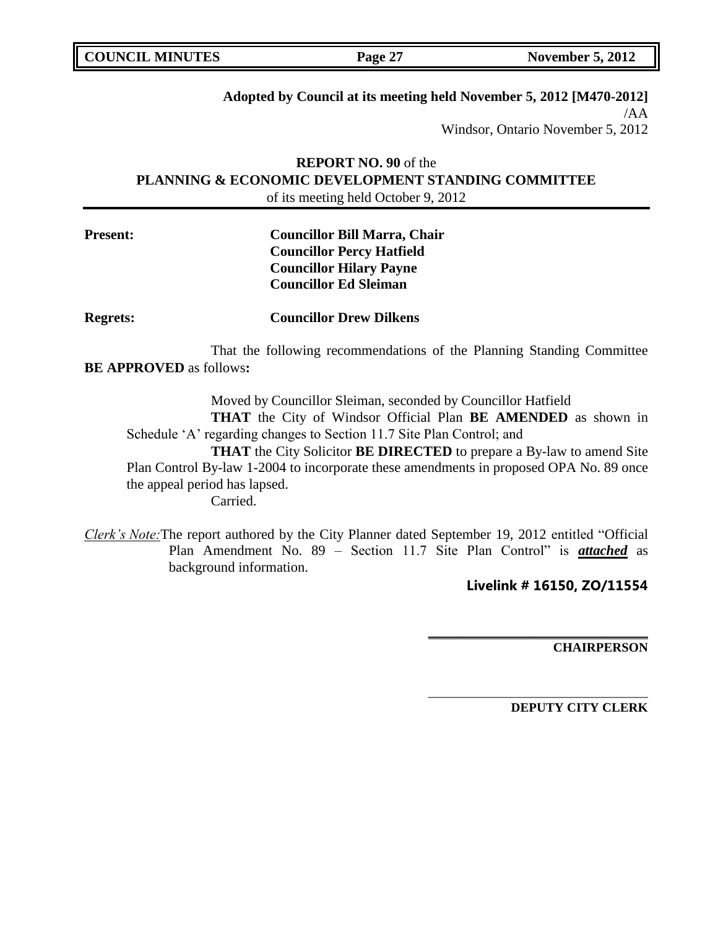| <b>COUNCIL MINUTES</b><br>Page 27 | <b>November 5, 2012</b> |
|-----------------------------------|-------------------------|
|-----------------------------------|-------------------------|

# **Adopted by Council at its meeting held November 5, 2012 [M470-2012]**

/AA Windsor, Ontario November 5, 2012

# **REPORT NO. 90** of the **PLANNING & ECONOMIC DEVELOPMENT STANDING COMMITTEE** of its meeting held October 9, 2012

# **Present: Councillor Bill Marra, Chair Councillor Percy Hatfield Councillor Hilary Payne Councillor Ed Sleiman**

**Regrets: Councillor Drew Dilkens**

That the following recommendations of the Planning Standing Committee **BE APPROVED** as follows**:** 

Moved by Councillor Sleiman, seconded by Councillor Hatfield

**THAT** the City of Windsor Official Plan **BE AMENDED** as shown in Schedule 'A' regarding changes to Section 11.7 Site Plan Control; and

**THAT** the City Solicitor **BE DIRECTED** to prepare a By-law to amend Site Plan Control By-law 1-2004 to incorporate these amendments in proposed OPA No. 89 once the appeal period has lapsed.

Carried.

*Clerk's Note:*The report authored by the City Planner dated September 19, 2012 entitled "Official Plan Amendment No. 89 – Section 11.7 Site Plan Control" is *attached* as background information.

**Livelink # 16150, ZO/11554**

**\_\_\_\_\_\_\_\_\_\_\_\_\_\_\_\_\_\_\_\_\_\_\_\_\_\_\_\_\_\_\_\_\_\_**

\_\_\_\_\_\_\_\_\_\_\_\_\_\_\_\_\_\_\_\_\_\_\_\_\_\_\_\_\_\_\_\_\_\_

**CHAIRPERSON**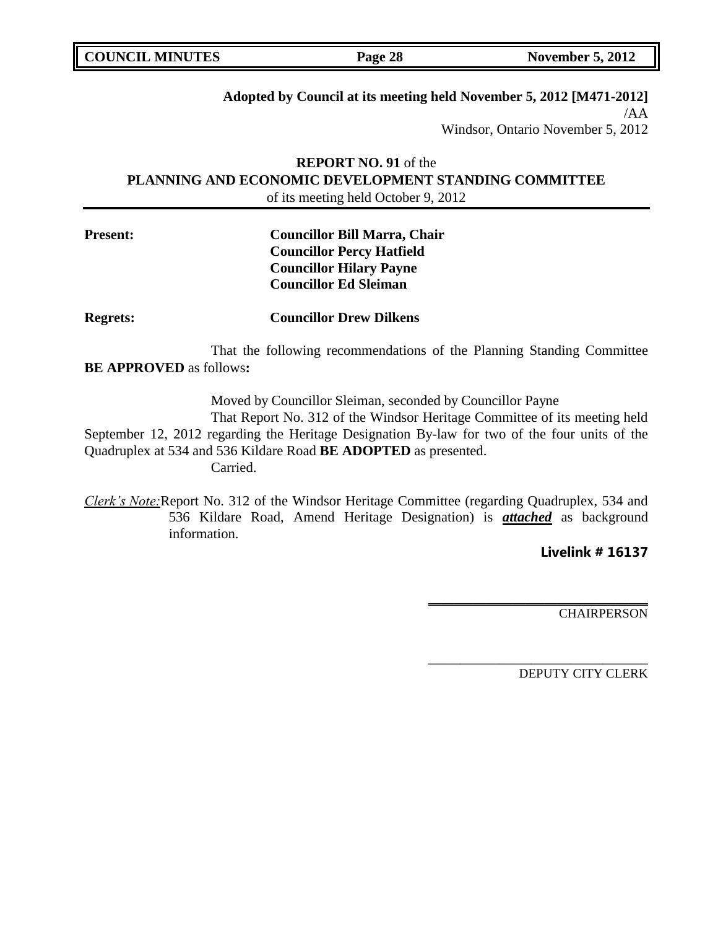| <b>COUNCIL MINUTES</b> | Page 28 | <b>November 5, 2012</b> |
|------------------------|---------|-------------------------|
|                        |         |                         |

#### **Adopted by Council at its meeting held November 5, 2012 [M471-2012]** /AA

Windsor, Ontario November 5, 2012

# **REPORT NO. 91** of the **PLANNING AND ECONOMIC DEVELOPMENT STANDING COMMITTEE** of its meeting held October 9, 2012

# **Present: Councillor Bill Marra, Chair Councillor Percy Hatfield Councillor Hilary Payne Councillor Ed Sleiman**

**Regrets: Councillor Drew Dilkens**

That the following recommendations of the Planning Standing Committee **BE APPROVED** as follows**:** 

Moved by Councillor Sleiman, seconded by Councillor Payne

That Report No. 312 of the Windsor Heritage Committee of its meeting held September 12, 2012 regarding the Heritage Designation By-law for two of the four units of the Quadruplex at 534 and 536 Kildare Road **BE ADOPTED** as presented.

Carried.

*Clerk's Note:*Report No. 312 of the Windsor Heritage Committee (regarding Quadruplex, 534 and 536 Kildare Road, Amend Heritage Designation) is *attached* as background information.

**Livelink # 16137**

**CHAIRPERSON** 

DEPUTY CITY CLERK

**\_\_\_\_\_\_\_\_\_\_\_\_\_\_\_\_\_\_\_\_\_\_\_\_\_\_\_\_\_\_\_\_\_\_**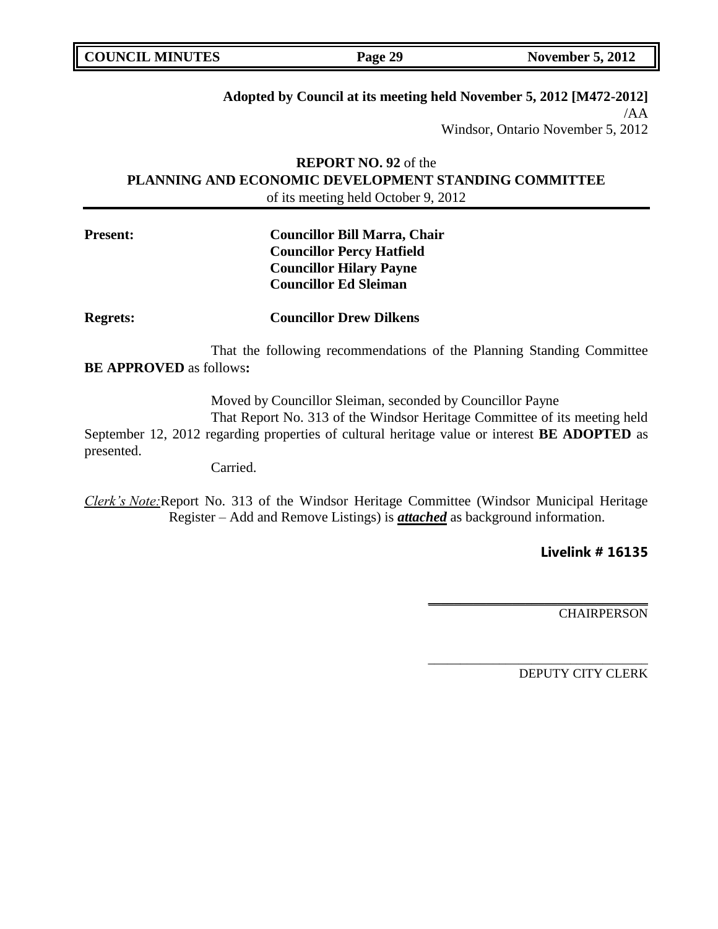| <b>COUNCIL MINUTES</b> | Page 29 | <b>November 5, 2012</b> |
|------------------------|---------|-------------------------|
|------------------------|---------|-------------------------|

## **Adopted by Council at its meeting held November 5, 2012 [M472-2012]** /AA

Windsor, Ontario November 5, 2012

# **REPORT NO. 92** of the **PLANNING AND ECONOMIC DEVELOPMENT STANDING COMMITTEE** of its meeting held October 9, 2012

# **Present: Councillor Bill Marra, Chair Councillor Percy Hatfield Councillor Hilary Payne Councillor Ed Sleiman**

**Regrets: Councillor Drew Dilkens**

That the following recommendations of the Planning Standing Committee **BE APPROVED** as follows**:** 

Moved by Councillor Sleiman, seconded by Councillor Payne

That Report No. 313 of the Windsor Heritage Committee of its meeting held September 12, 2012 regarding properties of cultural heritage value or interest **BE ADOPTED** as presented.

Carried.

*Clerk's Note:*Report No. 313 of the Windsor Heritage Committee (Windsor Municipal Heritage Register – Add and Remove Listings) is *attached* as background information.

**Livelink # 16135**

**CHAIRPERSON** 

DEPUTY CITY CLERK

**\_\_\_\_\_\_\_\_\_\_\_\_\_\_\_\_\_\_\_\_\_\_\_\_\_\_\_\_\_\_\_\_\_\_**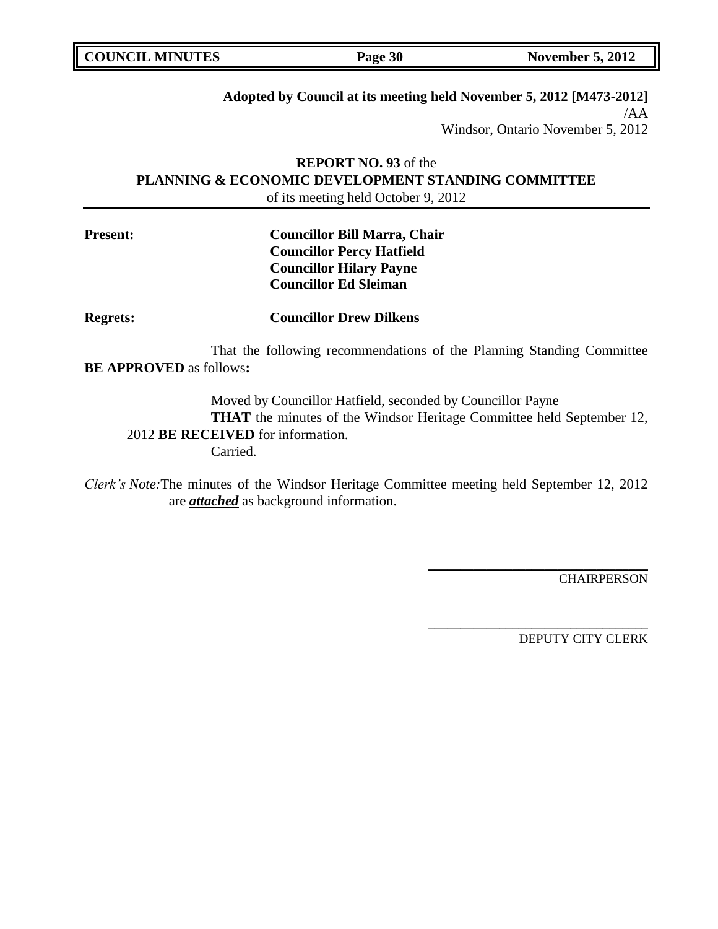# **Adopted by Council at its meeting held November 5, 2012 [M473-2012]**

/AA Windsor, Ontario November 5, 2012

# **REPORT NO. 93** of the **PLANNING & ECONOMIC DEVELOPMENT STANDING COMMITTEE** of its meeting held October 9, 2012

# **Present: Councillor Bill Marra, Chair Councillor Percy Hatfield Councillor Hilary Payne Councillor Ed Sleiman**

**Regrets: Councillor Drew Dilkens**

That the following recommendations of the Planning Standing Committee **BE APPROVED** as follows**:** 

Moved by Councillor Hatfield, seconded by Councillor Payne **THAT** the minutes of the Windsor Heritage Committee held September 12, 2012 **BE RECEIVED** for information. Carried.

*Clerk's Note:*The minutes of the Windsor Heritage Committee meeting held September 12, 2012 are *attached* as background information.

**CHAIRPERSON** 

DEPUTY CITY CLERK

**\_\_\_\_\_\_\_\_\_\_\_\_\_\_\_\_\_\_\_\_\_\_\_\_\_\_\_\_\_\_\_\_\_\_**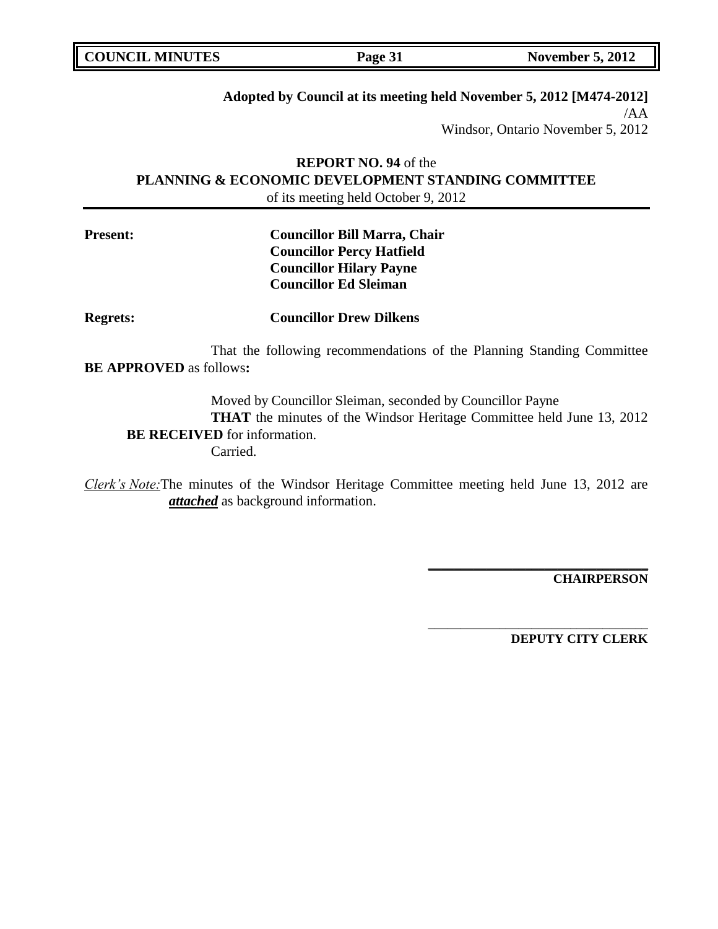| <b>COUNCIL MINUTES</b><br><b>November 5, 2012</b><br>Page 31 |
|--------------------------------------------------------------|
|--------------------------------------------------------------|

# **Adopted by Council at its meeting held November 5, 2012 [M474-2012]**

/AA Windsor, Ontario November 5, 2012

# **REPORT NO. 94** of the **PLANNING & ECONOMIC DEVELOPMENT STANDING COMMITTEE** of its meeting held October 9, 2012

# **Present: Councillor Bill Marra, Chair Councillor Percy Hatfield Councillor Hilary Payne Councillor Ed Sleiman**

**Regrets: Councillor Drew Dilkens**

That the following recommendations of the Planning Standing Committee **BE APPROVED** as follows**:** 

Moved by Councillor Sleiman, seconded by Councillor Payne **THAT** the minutes of the Windsor Heritage Committee held June 13, 2012 **BE RECEIVED** for information. Carried.

*Clerk's Note:*The minutes of the Windsor Heritage Committee meeting held June 13, 2012 are *attached* as background information.

**CHAIRPERSON**

**DEPUTY CITY CLERK**

**\_\_\_\_\_\_\_\_\_\_\_\_\_\_\_\_\_\_\_\_\_\_\_\_\_\_\_\_\_\_\_\_\_\_**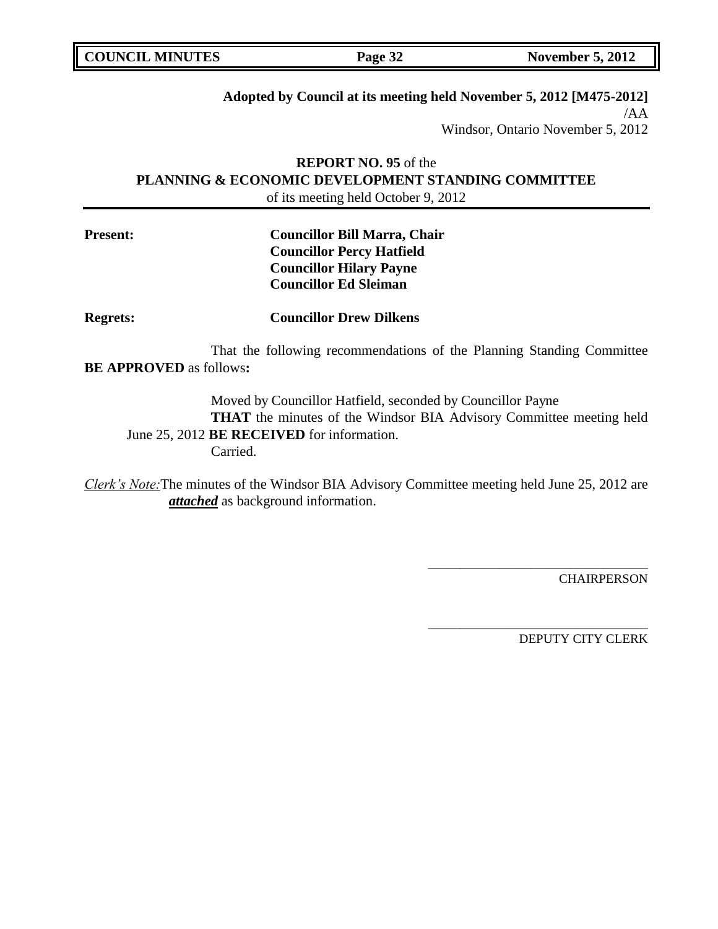# **Adopted by Council at its meeting held November 5, 2012 [M475-2012]**

/AA Windsor, Ontario November 5, 2012

# **REPORT NO. 95** of the **PLANNING & ECONOMIC DEVELOPMENT STANDING COMMITTEE** of its meeting held October 9, 2012

# **Present: Councillor Bill Marra, Chair Councillor Percy Hatfield Councillor Hilary Payne Councillor Ed Sleiman**

**Regrets: Councillor Drew Dilkens**

That the following recommendations of the Planning Standing Committee **BE APPROVED** as follows**:** 

Moved by Councillor Hatfield, seconded by Councillor Payne **THAT** the minutes of the Windsor BIA Advisory Committee meeting held June 25, 2012 **BE RECEIVED** for information. Carried.

*Clerk's Note:*The minutes of the Windsor BIA Advisory Committee meeting held June 25, 2012 are *attached* as background information.

**CHAIRPERSON** 

DEPUTY CITY CLERK

\_\_\_\_\_\_\_\_\_\_\_\_\_\_\_\_\_\_\_\_\_\_\_\_\_\_\_\_\_\_\_\_\_\_